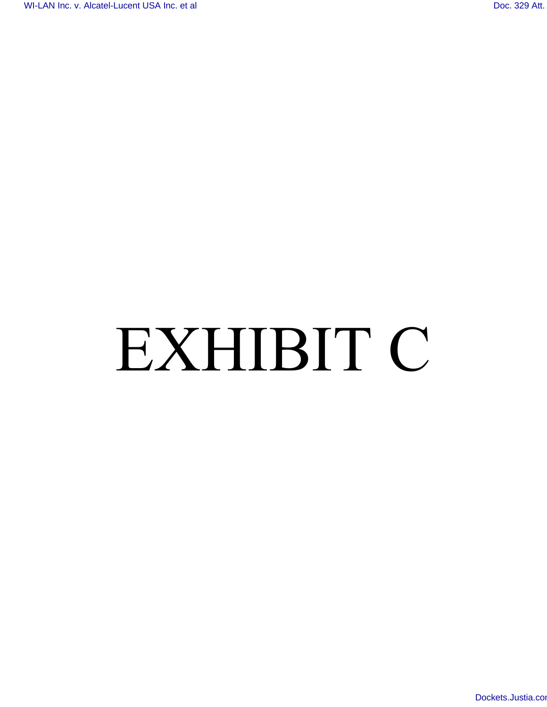# EXHIBIT C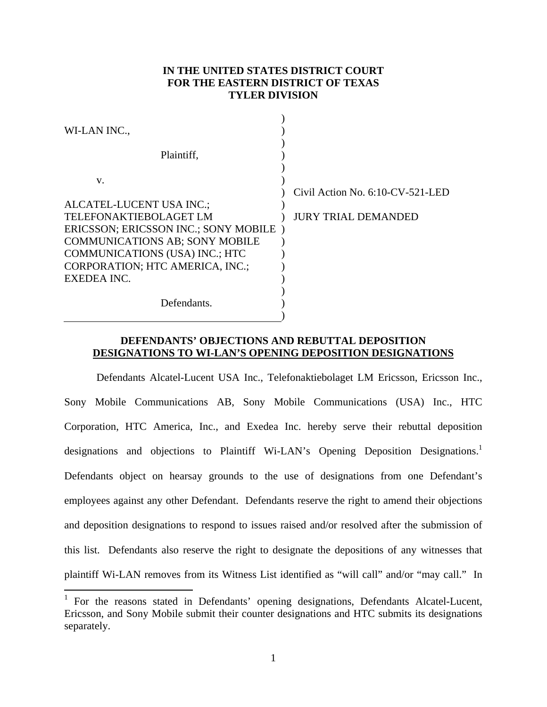# **IN THE UNITED STATES DISTRICT COURT FOR THE EASTERN DISTRICT OF TEXAS TYLER DIVISION**

| WI-LAN INC.,                                                             |                                  |
|--------------------------------------------------------------------------|----------------------------------|
| Plaintiff,                                                               |                                  |
| V.                                                                       |                                  |
| ALCATEL-LUCENT USA INC.;                                                 | Civil Action No. 6:10-CV-521-LED |
| TELEFONAKTIEBOLAGET LM<br>ERICSSON; ERICSSON INC.; SONY MOBILE)          | <b>JURY TRIAL DEMANDED</b>       |
| <b>COMMUNICATIONS AB; SONY MOBILE</b>                                    |                                  |
| <b>COMMUNICATIONS (USA) INC.; HTC</b><br>CORPORATION; HTC AMERICA, INC.; |                                  |
| EXEDEA INC.                                                              |                                  |
| Defendants.                                                              |                                  |
|                                                                          |                                  |

# **DEFENDANTS' OBJECTIONS AND REBUTTAL DEPOSITION DESIGNATIONS TO WI-LAN'S OPENING DEPOSITION DESIGNATIONS**

Defendants Alcatel-Lucent USA Inc., Telefonaktiebolaget LM Ericsson, Ericsson Inc., Sony Mobile Communications AB, Sony Mobile Communications (USA) Inc., HTC Corporation, HTC America, Inc., and Exedea Inc. hereby serve their rebuttal deposition designations and objections to Plaintiff Wi-LAN's Opening Deposition Designations.<sup>1</sup> Defendants object on hearsay grounds to the use of designations from one Defendant's employees against any other Defendant. Defendants reserve the right to amend their objections and deposition designations to respond to issues raised and/or resolved after the submission of this list. Defendants also reserve the right to designate the depositions of any witnesses that plaintiff Wi-LAN removes from its Witness List identified as "will call" and/or "may call." In

1

<sup>&</sup>lt;sup>1</sup> For the reasons stated in Defendants' opening designations, Defendants Alcatel-Lucent, Ericsson, and Sony Mobile submit their counter designations and HTC submits its designations separately.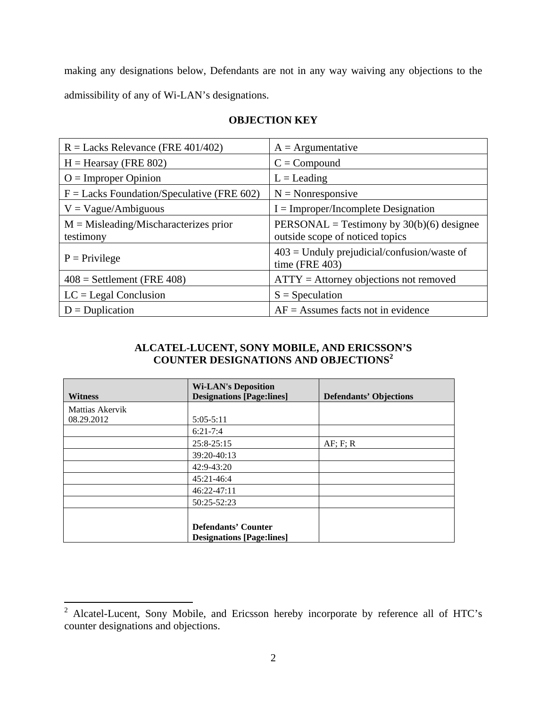making any designations below, Defendants are not in any way waiving any objections to the admissibility of any of Wi-LAN's designations.

| $R =$ Lacks Relevance (FRE 401/402)                   | $A =$ Argumentative                                                            |
|-------------------------------------------------------|--------------------------------------------------------------------------------|
| $H =$ Hearsay (FRE 802)                               | $C = Compound$                                                                 |
| $O =$ Improper Opinion                                | $L =$ Leading                                                                  |
| $F =$ Lacks Foundation/Speculative (FRE 602)          | $N = \text{Nonresponse}$                                                       |
| $V = Vague/Ambiguous$                                 | $I = Improper/Incomplete Designation$                                          |
| $M = M$ isleading/Mischaracterizes prior<br>testimony | PERSONAL = Testimony by $30(b)(6)$ designee<br>outside scope of noticed topics |
| $P =$ Privilege                                       | $403$ = Unduly prejudicial/confusion/waste of<br>time (FRE $403$ )             |
| $408$ = Settlement (FRE 408)                          | $ATTY =$ Attorney objections not removed                                       |
| $LC =$ Legal Conclusion                               | $S = Speculation$                                                              |
| $D = Duplication$                                     | $AF =$ Assumes facts not in evidence                                           |

# **OBJECTION KEY**

### **ALCATEL-LUCENT, SONY MOBILE, AND ERICSSON'S COUNTER DESIGNATIONS AND OBJECTIONS<sup>2</sup>**

| <b>Witness</b>  | <b>Wi-LAN's Deposition</b><br><b>Designations [Page:lines]</b> | <b>Defendants' Objections</b> |
|-----------------|----------------------------------------------------------------|-------------------------------|
| Mattias Akervik |                                                                |                               |
| 08.29.2012      | $5:05-5:11$                                                    |                               |
|                 | $6:21-7:4$                                                     |                               |
|                 | $25:8-25:15$                                                   | AF; F; R                      |
|                 | 39:20-40:13                                                    |                               |
|                 | 42:9-43:20                                                     |                               |
|                 | 45:21-46:4                                                     |                               |
|                 | 46:22-47:11                                                    |                               |
|                 | 50:25-52:23                                                    |                               |
|                 |                                                                |                               |
|                 | <b>Defendants' Counter</b>                                     |                               |
|                 | <b>Designations [Page:lines]</b>                               |                               |

<sup>&</sup>lt;sup>2</sup> Alcatel-Lucent, Sony Mobile, and Ericsson hereby incorporate by reference all of HTC's counter designations and objections.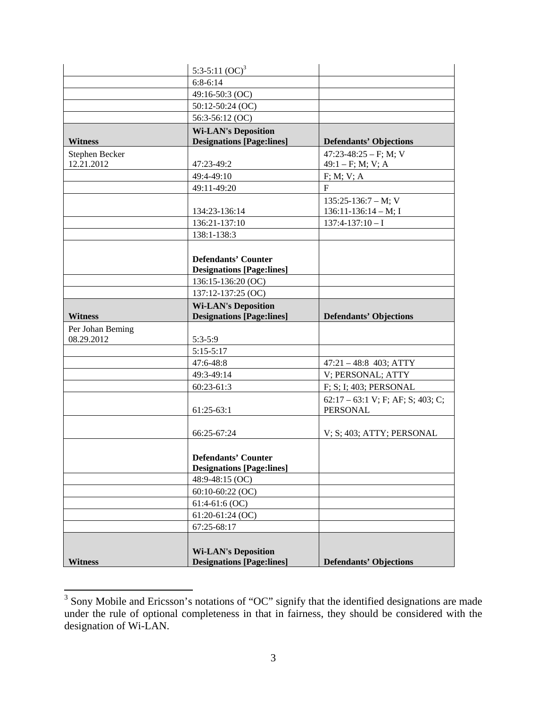|                  | 5:3-5:11 $(OC)^3$                |                                                        |
|------------------|----------------------------------|--------------------------------------------------------|
|                  | $6:8-6:14$                       |                                                        |
|                  | 49:16-50:3 (OC)                  |                                                        |
|                  | 50:12-50:24 (OC)                 |                                                        |
|                  | 56:3-56:12 (OC)                  |                                                        |
|                  | <b>Wi-LAN's Deposition</b>       |                                                        |
| <b>Witness</b>   | <b>Designations [Page:lines]</b> | <b>Defendants' Objections</b>                          |
| Stephen Becker   |                                  | 47:23-48:25 - F; M; V                                  |
| 12.21.2012       | 47:23-49:2                       | $49:1 - F$ ; M; V; A                                   |
|                  | 49:4-49:10                       | F; M; V; A                                             |
|                  | 49:11-49:20                      | $\mathbf{F}$                                           |
|                  |                                  | $135:25-136:7-M; V$                                    |
|                  | 134:23-136:14                    | $136:11-136:14-M;$ I                                   |
|                  | 136:21-137:10                    | $137:4-137:10-I$                                       |
|                  | 138:1-138:3                      |                                                        |
|                  |                                  |                                                        |
|                  | <b>Defendants' Counter</b>       |                                                        |
|                  | <b>Designations [Page:lines]</b> |                                                        |
|                  | 136:15-136:20 (OC)               |                                                        |
|                  | 137:12-137:25 (OC)               |                                                        |
|                  | <b>Wi-LAN's Deposition</b>       |                                                        |
| <b>Witness</b>   | <b>Designations [Page:lines]</b> | <b>Defendants' Objections</b>                          |
| Per Johan Beming |                                  |                                                        |
| 08.29.2012       | 5:3-5:9                          |                                                        |
|                  | $5:15-5:17$                      |                                                        |
|                  | 47:6-48:8                        | $47:21 - 48:8$ 403; ATTY                               |
|                  | 49:3-49:14                       | V; PERSONAL; ATTY                                      |
|                  | 60:23-61:3                       | F; S; I; 403; PERSONAL                                 |
|                  | $61:25-63:1$                     | $62:17 - 63:1$ V; F; AF; S; 403; C;<br><b>PERSONAL</b> |
|                  |                                  |                                                        |
|                  | 66:25-67:24                      | V; S; 403; ATTY; PERSONAL                              |
|                  |                                  |                                                        |
|                  |                                  |                                                        |
|                  |                                  |                                                        |
|                  | <b>Defendants' Counter</b>       |                                                        |
|                  | <b>Designations [Page:lines]</b> |                                                        |
|                  | 48:9-48:15 (OC)                  |                                                        |
|                  | $60:10-60:22$ (OC)               |                                                        |
|                  | $61:4-61:6$ (OC)                 |                                                        |
|                  | $61:20-61:24$ (OC)               |                                                        |
|                  | 67:25-68:17                      |                                                        |
|                  | <b>Wi-LAN's Deposition</b>       |                                                        |

<sup>&</sup>lt;sup>3</sup> Sony Mobile and Ericsson's notations of "OC" signify that the identified designations are made under the rule of optional completeness in that in fairness, they should be considered with the designation of Wi-LAN.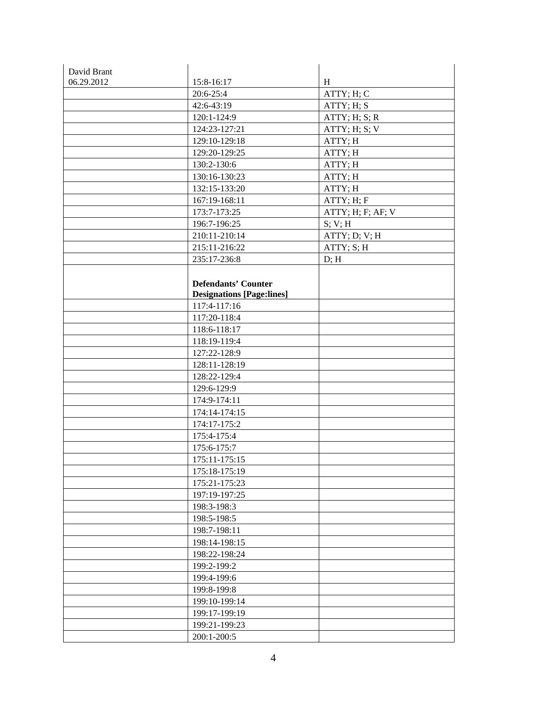| David Brant |                                  |                   |
|-------------|----------------------------------|-------------------|
| 06.29.2012  | 15:8-16:17                       | H                 |
|             | 20:6-25:4                        | ATTY; H; C        |
|             | 42:6-43:19                       | ATTY; H; S        |
|             | 120:1-124:9                      | ATTY; H; S; R     |
|             | 124:23-127:21                    | ATTY; H; S; V     |
|             | 129:10-129:18                    | ATTY; H           |
|             | 129:20-129:25                    | ATTY; H           |
|             | 130:2-130:6                      | ATTY; H           |
|             | 130:16-130:23                    | ATTY; H           |
|             | 132:15-133:20                    | ATTY; H           |
|             | 167:19-168:11                    | ATTY; H; F        |
|             | 173:7-173:25                     | ATTY; H; F; AF; V |
|             | 196:7-196:25                     | S; V; H           |
|             | 210:11-210:14                    | ATTY; D; V; H     |
|             | 215:11-216:22                    | ATTY; S; H        |
|             | 235:17-236:8                     | D; H              |
|             |                                  |                   |
|             | <b>Defendants' Counter</b>       |                   |
|             | <b>Designations [Page:lines]</b> |                   |
|             | 117:4-117:16                     |                   |
|             | 117:20-118:4                     |                   |
|             | 118:6-118:17                     |                   |
|             | 118:19-119:4                     |                   |
|             | 127:22-128:9                     |                   |
|             | 128:11-128:19                    |                   |
|             | 128:22-129:4                     |                   |
|             | 129:6-129:9                      |                   |
|             | 174:9-174:11                     |                   |
|             | 174:14-174:15                    |                   |
|             | 174:17-175:2                     |                   |
|             | 175:4-175:4                      |                   |
|             | 175:6-175:7                      |                   |
|             | 175:11-175:15                    |                   |
|             | 175:18-175:19                    |                   |
|             | 175:21-175:23                    |                   |
|             | 197:19-197:25                    |                   |
|             | 198:3-198:3                      |                   |
|             | 198:5-198:5                      |                   |
|             | 198:7-198:11                     |                   |
|             | 198:14-198:15                    |                   |
|             | 198:22-198:24                    |                   |
|             | 199:2-199:2                      |                   |
|             | 199:4-199:6                      |                   |
|             | 199:8-199:8                      |                   |
|             | 199:10-199:14                    |                   |
|             | 199:17-199:19                    |                   |
|             | 199:21-199:23                    |                   |
|             | 200:1-200:5                      |                   |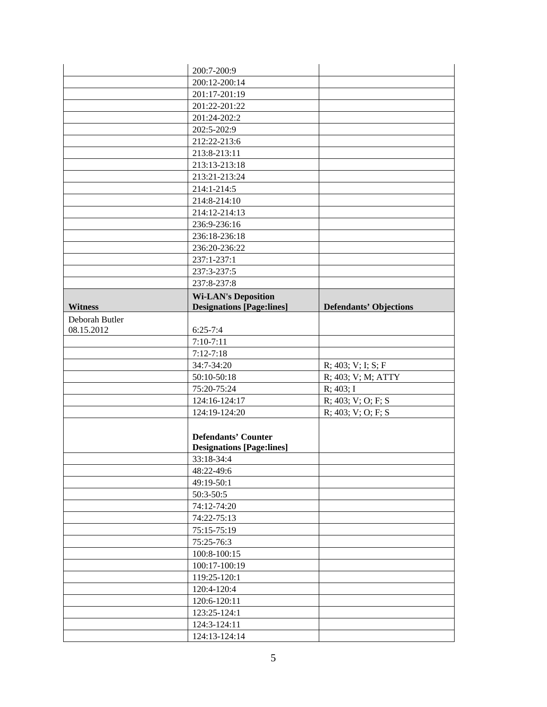|                | 200:7-200:9                      |                               |
|----------------|----------------------------------|-------------------------------|
|                | 200:12-200:14                    |                               |
|                | 201:17-201:19                    |                               |
|                | 201:22-201:22                    |                               |
|                | 201:24-202:2                     |                               |
|                | 202:5-202:9                      |                               |
|                | 212:22-213:6                     |                               |
|                | 213:8-213:11                     |                               |
|                | 213:13-213:18                    |                               |
|                | 213:21-213:24                    |                               |
|                | 214:1-214:5                      |                               |
|                | 214:8-214:10                     |                               |
|                | 214:12-214:13                    |                               |
|                | 236:9-236:16                     |                               |
|                | 236:18-236:18                    |                               |
|                | 236:20-236:22                    |                               |
|                | 237:1-237:1                      |                               |
|                | 237:3-237:5                      |                               |
|                | 237:8-237:8                      |                               |
|                | <b>Wi-LAN's Deposition</b>       |                               |
| <b>Witness</b> | <b>Designations [Page:lines]</b> | <b>Defendants' Objections</b> |
| Deborah Butler |                                  |                               |
| 08.15.2012     | $6:25 - 7:4$                     |                               |
|                | $7:10-7:11$                      |                               |
|                | $7:12-7:18$                      |                               |
|                | 34:7-34:20                       | $R$ ; 403; V; I; S; F         |
|                | 50:10-50:18                      | R; 403; V; M; ATTY            |
|                | 75:20-75:24                      | $R$ ; 403; I                  |
|                | 124:16-124:17                    | R; 403; V; O; F; S            |
|                | 124:19-124:20                    | R; 403; V; O; F; S            |
|                |                                  |                               |
|                | <b>Defendants' Counter</b>       |                               |
|                | <b>Designations [Page:lines]</b> |                               |
|                | 33:18-34:4                       |                               |
|                | 48:22-49:6                       |                               |
|                | 49:19-50:1                       |                               |
|                | $50:3-50:5$                      |                               |
|                | 74:12-74:20                      |                               |
|                | 74:22-75:13                      |                               |
|                | 75:15-75:19                      |                               |
|                | 75:25-76:3                       |                               |
|                | 100:8-100:15                     |                               |
|                | 100:17-100:19                    |                               |
|                | 119:25-120:1                     |                               |
|                |                                  |                               |
|                | 120:4-120:4                      |                               |
|                | 120:6-120:11                     |                               |
|                | 123:25-124:1                     |                               |
|                | 124:3-124:11                     |                               |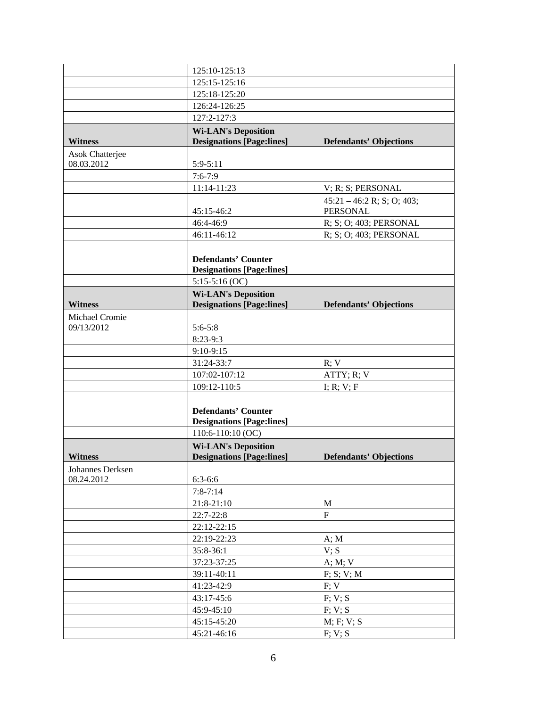|                  | 125:10-125:13                                                  |                               |
|------------------|----------------------------------------------------------------|-------------------------------|
|                  | 125:15-125:16                                                  |                               |
|                  | 125:18-125:20                                                  |                               |
|                  | 126:24-126:25                                                  |                               |
|                  | 127:2-127:3                                                    |                               |
|                  | <b>Wi-LAN's Deposition</b>                                     |                               |
| <b>Witness</b>   | <b>Designations [Page:lines]</b>                               | <b>Defendants' Objections</b> |
| Asok Chatterjee  |                                                                |                               |
| 08.03.2012       | $5:9-5:11$                                                     |                               |
|                  | $7:6 - 7:9$                                                    |                               |
|                  | 11:14-11:23                                                    | $V$ ; R; S; PERSONAL          |
|                  |                                                                | $45:21 - 46:2 R$ ; S; O; 403; |
|                  | 45:15-46:2                                                     | <b>PERSONAL</b>               |
|                  | 46:4-46:9                                                      | R; S; O; 403; PERSONAL        |
|                  | 46:11-46:12                                                    | R; S; O; 403; PERSONAL        |
|                  |                                                                |                               |
|                  | <b>Defendants' Counter</b>                                     |                               |
|                  | <b>Designations [Page:lines]</b>                               |                               |
|                  | $5:15-5:16$ (OC)                                               |                               |
|                  | <b>Wi-LAN's Deposition</b>                                     |                               |
| <b>Witness</b>   | <b>Designations [Page:lines]</b>                               | <b>Defendants' Objections</b> |
| Michael Cromie   |                                                                |                               |
| 09/13/2012       | $5:6 - 5:8$                                                    |                               |
|                  | 8:23-9:3                                                       |                               |
|                  | $9:10-9:15$                                                    |                               |
|                  | 31:24-33:7                                                     | R; V                          |
|                  | 107:02-107:12<br>109:12-110:5                                  | ATTY; R; V                    |
|                  |                                                                | I; R; V; F                    |
|                  |                                                                |                               |
|                  | <b>Defendants' Counter</b><br><b>Designations [Page:lines]</b> |                               |
|                  | 110:6-110:10 (OC)                                              |                               |
|                  | <b>Wi-LAN's Deposition</b>                                     |                               |
| <b>Witness</b>   | <b>Designations [Page:lines]</b>                               | <b>Defendants' Objections</b> |
| Johannes Derksen |                                                                |                               |
| 08.24.2012       | $6:3-6:6$                                                      |                               |
|                  | $7:8 - 7:14$                                                   |                               |
|                  | 21:8-21:10                                                     | $\mathbf M$                   |
|                  | $22:7-22:8$                                                    | $\mathbf F$                   |
|                  | 22:12-22:15                                                    |                               |
|                  | 22:19-22:23                                                    | A; M                          |
|                  | 35:8-36:1                                                      | V; S                          |
|                  | 37:23-37:25                                                    | A; M; V                       |
|                  | 39:11-40:11                                                    | F; S; V; M                    |
|                  | 41:23-42:9                                                     | F; V                          |
|                  | 43:17-45:6                                                     | F; V; S                       |
|                  | 45:9-45:10                                                     | F; V; S                       |
|                  | 45:15-45:20                                                    | M; F; V; S                    |
|                  | 45:21-46:16                                                    | F; V; S                       |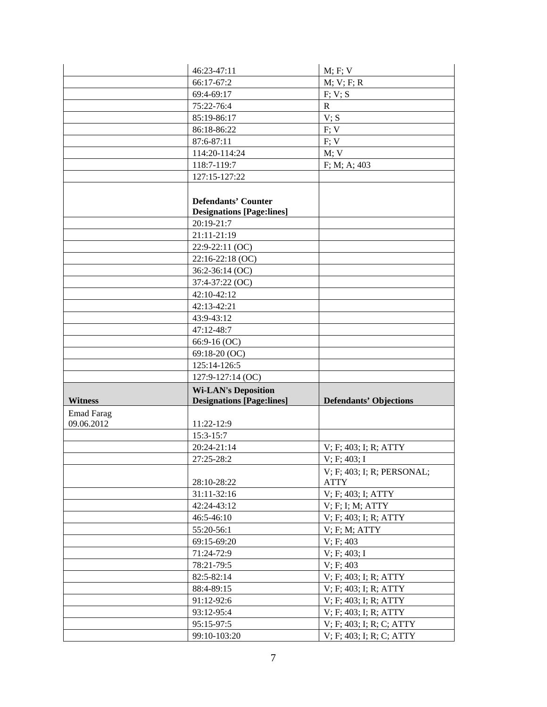|                   | 46:23-47:11                      | M; F; V                                              |
|-------------------|----------------------------------|------------------------------------------------------|
|                   | 66:17-67:2                       | M; V; F; R                                           |
|                   | 69:4-69:17                       | F: V: S                                              |
|                   | 75:22-76:4                       | $\mathbf{R}$                                         |
|                   | 85:19-86:17                      | V; S                                                 |
|                   | 86:18-86:22                      | F; V                                                 |
|                   | 87:6-87:11                       | F; V                                                 |
|                   | 114:20-114:24                    | M; V                                                 |
|                   | 118:7-119:7                      | F; M; A; 403                                         |
|                   | 127:15-127:22                    |                                                      |
|                   |                                  |                                                      |
|                   | <b>Defendants' Counter</b>       |                                                      |
|                   | <b>Designations [Page:lines]</b> |                                                      |
|                   | 20:19-21:7                       |                                                      |
|                   | 21:11-21:19                      |                                                      |
|                   | 22:9-22:11 (OC)                  |                                                      |
|                   | 22:16-22:18 (OC)                 |                                                      |
|                   | 36:2-36:14 (OC)                  |                                                      |
|                   | 37:4-37:22 (OC)                  |                                                      |
|                   | 42:10-42:12                      |                                                      |
|                   | 42:13-42:21                      |                                                      |
|                   | 43:9-43:12                       |                                                      |
|                   | 47:12-48:7                       |                                                      |
|                   | 66:9-16 (OC)                     |                                                      |
|                   | 69:18-20 (OC)                    |                                                      |
|                   |                                  |                                                      |
|                   | 125:14-126:5                     |                                                      |
|                   | 127:9-127:14 (OC)                |                                                      |
|                   | <b>Wi-LAN's Deposition</b>       |                                                      |
| <b>Witness</b>    | <b>Designations [Page:lines]</b> | <b>Defendants' Objections</b>                        |
| <b>Emad Farag</b> |                                  |                                                      |
| 09.06.2012        | 11:22-12:9                       |                                                      |
|                   | $15:3 - 15:7$                    |                                                      |
|                   | 20:24-21:14                      | V; F; 403; I; R; ATTY                                |
|                   | 27:25-28:2                       | $V$ ; F; 403; I                                      |
|                   |                                  | V; F; 403; I; R; PERSONAL;                           |
|                   | 28:10-28:22                      | <b>ATTY</b>                                          |
|                   | 31:11-32:16                      | V; F; 403; I; ATTY                                   |
|                   | 42:24-43:12                      | V; F; I; M; ATTY                                     |
|                   | 46:5-46:10                       | V; F; 403; I; R; ATTY                                |
|                   | 55:20-56:1                       | $V$ ; F; M; ATTY                                     |
|                   | 69:15-69:20                      | V; F; 403                                            |
|                   | 71:24-72:9                       | V; F; 403; I                                         |
|                   | 78:21-79:5                       | V; F; 403                                            |
|                   | 82:5-82:14                       | V; F; 403; I; R; ATTY                                |
|                   | 88:4-89:15                       | V; F; 403; I; R; ATTY                                |
|                   | 91:12-92:6                       | V; F; 403; I; R; ATTY                                |
|                   | 93:12-95:4                       | V; F; 403; I; R; ATTY                                |
|                   | 95:15-97:5<br>99:10-103:20       | V; F; 403; I; R; C; ATTY<br>V; F; 403; I; R; C; ATTY |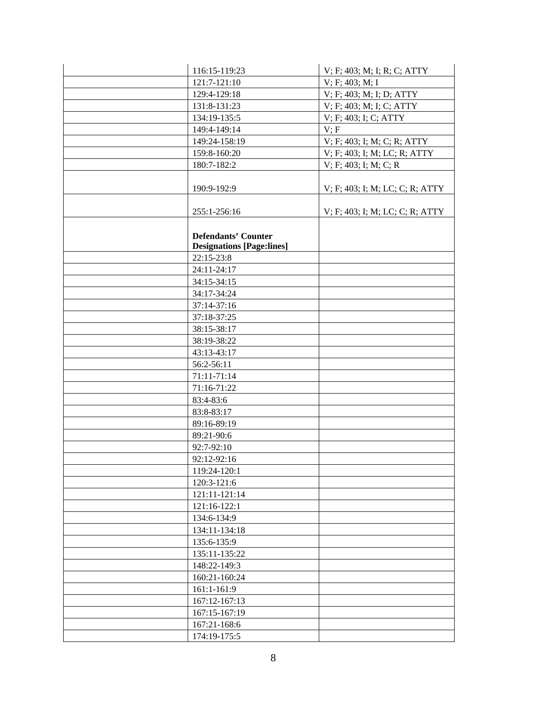| 116:15-119:23                    | V; F; 403; M; I; R; C; ATTY     |
|----------------------------------|---------------------------------|
| 121:7-121:10                     | V; F; 403; M; I                 |
| 129:4-129:18                     | V; F; 403; M; I; D; ATTY        |
| 131:8-131:23                     | V; F; 403; M; I; C; ATTY        |
| 134:19-135:5                     | V; F; 403; I; C; ATTY           |
| 149:4-149:14                     | V; F                            |
| 149:24-158:19                    | V; F; 403; I; M; C; R; ATTY     |
| 159:8-160:20                     | V; F; 403; I; M; LC; R; ATTY    |
| 180:7-182:2                      | $V$ ; F; 403; I; M; C; R        |
|                                  |                                 |
| 190:9-192:9                      | V; F; 403; I; M; LC; C; R; ATTY |
|                                  |                                 |
| 255:1-256:16                     | V; F; 403; I; M; LC; C; R; ATTY |
|                                  |                                 |
| <b>Defendants' Counter</b>       |                                 |
| <b>Designations [Page:lines]</b> |                                 |
| $22:15-23:8$                     |                                 |
| 24:11-24:17                      |                                 |
| 34:15-34:15                      |                                 |
| 34:17-34:24                      |                                 |
| 37:14-37:16                      |                                 |
| 37:18-37:25                      |                                 |
| 38:15-38:17                      |                                 |
| 38:19-38:22                      |                                 |
| 43:13-43:17                      |                                 |
| 56:2-56:11                       |                                 |
| 71:11-71:14                      |                                 |
| 71:16-71:22                      |                                 |
| 83:4-83:6                        |                                 |
| 83:8-83:17                       |                                 |
| 89:16-89:19                      |                                 |
| 89:21-90:6                       |                                 |
| 92:7-92:10                       |                                 |
| 92:12-92:16                      |                                 |
| 119:24-120:1                     |                                 |
| 120:3-121:6                      |                                 |
| 121:11-121:14                    |                                 |
| 121:16-122:1                     |                                 |
| 134:6-134:9                      |                                 |
| 134:11-134:18                    |                                 |
| 135:6-135:9                      |                                 |
| 135:11-135:22                    |                                 |
| 148:22-149:3                     |                                 |
| 160:21-160:24                    |                                 |
| 161:1-161:9                      |                                 |
| 167:12-167:13                    |                                 |
| 167:15-167:19                    |                                 |
| 167:21-168:6                     |                                 |
| 174:19-175:5                     |                                 |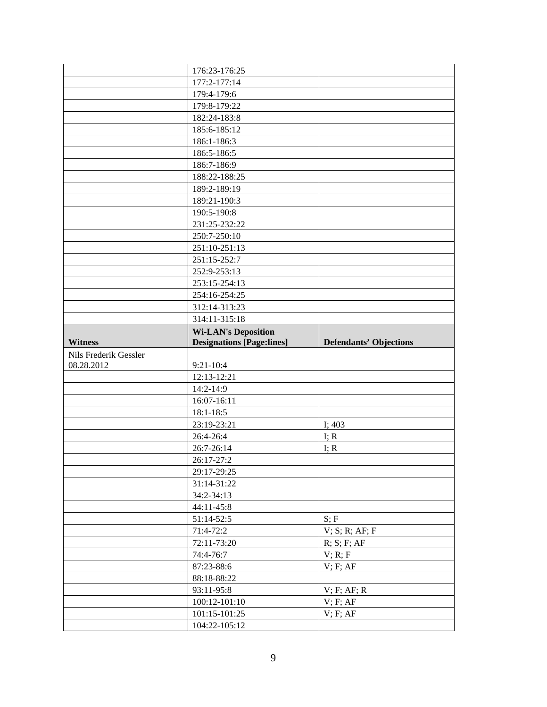|                       | 176:23-176:25                    |                               |
|-----------------------|----------------------------------|-------------------------------|
|                       | 177:2-177:14                     |                               |
|                       | 179:4-179:6                      |                               |
|                       | 179:8-179:22                     |                               |
|                       | 182:24-183:8                     |                               |
|                       | 185:6-185:12                     |                               |
|                       | 186:1-186:3                      |                               |
|                       | 186:5-186:5                      |                               |
|                       | 186:7-186:9                      |                               |
|                       | 188:22-188:25                    |                               |
|                       | 189:2-189:19                     |                               |
|                       | 189:21-190:3                     |                               |
|                       | 190:5-190:8                      |                               |
|                       | 231:25-232:22                    |                               |
|                       | 250:7-250:10                     |                               |
|                       | 251:10-251:13                    |                               |
|                       | 251:15-252:7                     |                               |
|                       | 252:9-253:13                     |                               |
|                       | 253:15-254:13                    |                               |
|                       | 254:16-254:25                    |                               |
|                       | 312:14-313:23                    |                               |
|                       | 314:11-315:18                    |                               |
|                       | <b>Wi-LAN's Deposition</b>       |                               |
| <b>Witness</b>        | <b>Designations [Page:lines]</b> | <b>Defendants' Objections</b> |
|                       |                                  |                               |
| Nils Frederik Gessler |                                  |                               |
| 08.28.2012            | $9:21-10:4$                      |                               |
|                       | 12:13-12:21                      |                               |
|                       | 14:2-14:9                        |                               |
|                       | 16:07-16:11                      |                               |
|                       | 18:1-18:5                        |                               |
|                       | 23:19-23:21                      | I; 403                        |
|                       | 26:4-26:4                        | I; $R$                        |
|                       | 26:7-26:14                       | I; $R$                        |
|                       | 26:17-27:2                       |                               |
|                       | 29:17-29:25                      |                               |
|                       | 31:14-31:22                      |                               |
|                       | 34:2-34:13                       |                               |
|                       | 44:11-45:8                       |                               |
|                       | 51:14-52:5                       | S; F                          |
|                       | 71:4-72:2                        | V; S; R; AF; F                |
|                       | 72:11-73:20                      | R; S; F; AF                   |
|                       | 74:4-76:7                        | V; R; F                       |
|                       | 87:23-88:6                       | V; F; AF                      |
|                       | 88:18-88:22                      |                               |
|                       | 93:11-95:8                       | $V$ ; F; AF; R                |
|                       | 100:12-101:10                    | V; F; AF                      |
|                       | 101:15-101:25<br>104:22-105:12   | V; F; AF                      |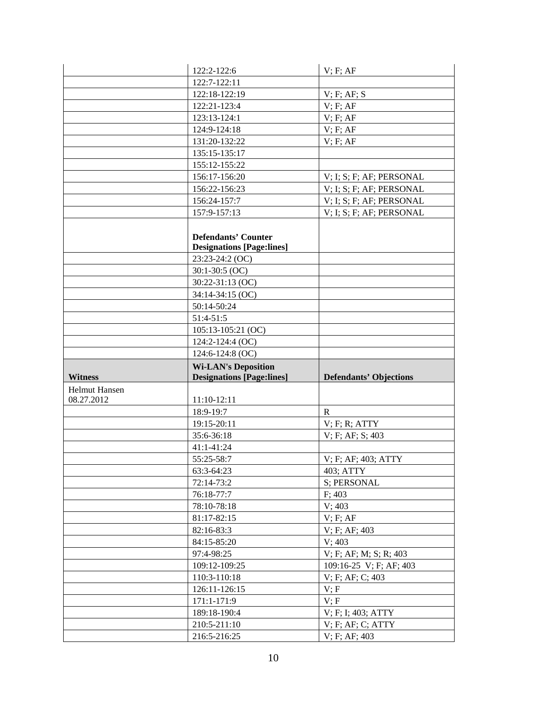|                      | 122:2-122:6                      | V; F; AF                                 |
|----------------------|----------------------------------|------------------------------------------|
|                      | 122:7-122:11                     |                                          |
|                      | 122:18-122:19                    | V; F; AF; S                              |
|                      | 122:21-123:4                     | V; F; AF                                 |
|                      | 123:13-124:1                     | V; F; AF                                 |
|                      | 124:9-124:18                     | V; F; AF                                 |
|                      | 131:20-132:22                    | V; F; AF                                 |
|                      | 135:15-135:17                    |                                          |
|                      | 155:12-155:22                    |                                          |
|                      | 156:17-156:20                    | $V$ ; I; S; F; AF; PERSONAL              |
|                      | 156:22-156:23                    | V; I; S; F; AF; PERSONAL                 |
|                      | 156:24-157:7                     | V; I; S; F; AF; PERSONAL                 |
|                      | 157:9-157:13                     | V; I; S; F; AF; PERSONAL                 |
|                      |                                  |                                          |
|                      | <b>Defendants' Counter</b>       |                                          |
|                      | <b>Designations [Page:lines]</b> |                                          |
|                      | 23:23-24:2 (OC)                  |                                          |
|                      | $30:1-30:5$ (OC)                 |                                          |
|                      | 30:22-31:13 (OC)                 |                                          |
|                      | 34:14-34:15 (OC)                 |                                          |
|                      | 50:14-50:24                      |                                          |
|                      | $51:4-51:5$                      |                                          |
|                      | 105:13-105:21 (OC)               |                                          |
|                      | 124:2-124:4 (OC)                 |                                          |
|                      | 124:6-124:8 (OC)                 |                                          |
|                      |                                  |                                          |
|                      | <b>Wi-LAN's Deposition</b>       |                                          |
| <b>Witness</b>       | <b>Designations [Page:lines]</b> | <b>Defendants' Objections</b>            |
| <b>Helmut Hansen</b> |                                  |                                          |
| 08.27.2012           | 11:10-12:11                      |                                          |
|                      | 18:9-19:7                        | $\mathbf{R}$                             |
|                      | 19:15-20:11                      | $V$ ; F; R; ATTY                         |
|                      | 35:6-36:18                       | V; F; AF; S; 403                         |
|                      | 41:1-41:24                       |                                          |
|                      | 55:25-58:7                       | V; F; AF; 403; ATTY                      |
|                      | 63:3-64:23                       | 403; ATTY                                |
|                      | 72:14-73:2                       | S; PERSONAL                              |
|                      | 76:18-77:7                       | F: 403                                   |
|                      | 78:10-78:18                      | V; 403                                   |
|                      | 81:17-82:15                      | V; F; AF                                 |
|                      | 82:16-83:3                       | V; F; AF; 403                            |
|                      | 84:15-85:20                      | V; 403                                   |
|                      | 97:4-98:25                       | $V$ ; F; AF; M; S; R; 403                |
|                      | 109:12-109:25                    | 109:16-25 V; F; AF; 403                  |
|                      | 110:3-110:18                     | V; F; AF; C; 403                         |
|                      | 126:11-126:15                    | V; F                                     |
|                      | 171:1-171:9                      | V; F                                     |
|                      | 189:18-190:4                     | V; F; I; 403; ATTY                       |
|                      | 210:5-211:10<br>216:5-216:25     | $V$ ; F; AF; C; ATTY<br>$V$ ; F; AF; 403 |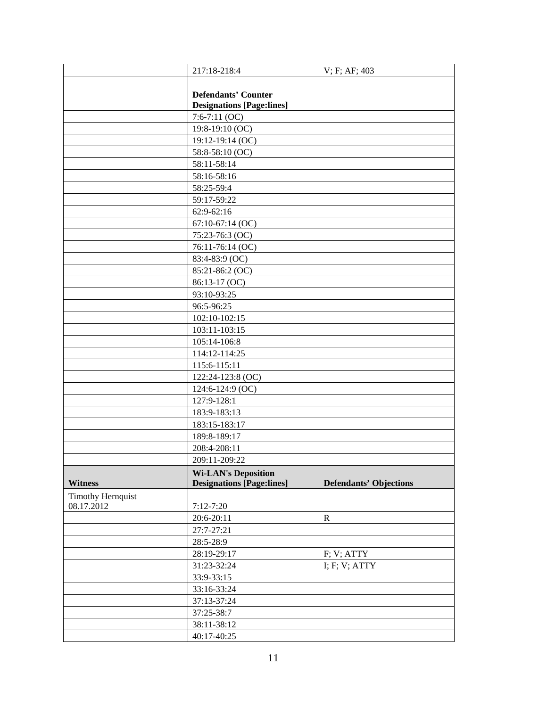|                          | 217:18-218:4                                                   | V; F; AF; 403                 |
|--------------------------|----------------------------------------------------------------|-------------------------------|
|                          |                                                                |                               |
|                          | <b>Defendants' Counter</b>                                     |                               |
|                          | <b>Designations [Page:lines]</b>                               |                               |
|                          | $7:6-7:11(OC)$                                                 |                               |
|                          | 19:8-19:10 (OC)                                                |                               |
|                          | 19:12-19:14 (OC)                                               |                               |
|                          | 58:8-58:10 (OC)                                                |                               |
|                          | 58:11-58:14                                                    |                               |
|                          | 58:16-58:16                                                    |                               |
|                          | 58:25-59:4                                                     |                               |
|                          | 59:17-59:22                                                    |                               |
|                          | 62:9-62:16                                                     |                               |
|                          | 67:10-67:14 (OC)                                               |                               |
|                          | 75:23-76:3 (OC)                                                |                               |
|                          | 76:11-76:14 (OC)                                               |                               |
|                          | 83:4-83:9 (OC)                                                 |                               |
|                          | 85:21-86:2 (OC)                                                |                               |
|                          | 86:13-17 (OC)                                                  |                               |
|                          | 93:10-93:25                                                    |                               |
|                          | 96:5-96:25                                                     |                               |
|                          | 102:10-102:15                                                  |                               |
|                          | 103:11-103:15                                                  |                               |
|                          | 105:14-106:8                                                   |                               |
|                          | 114:12-114:25                                                  |                               |
|                          | 115:6-115:11                                                   |                               |
|                          | 122:24-123:8 (OC)                                              |                               |
|                          | 124:6-124:9 (OC)                                               |                               |
|                          | 127:9-128:1                                                    |                               |
|                          | 183:9-183:13                                                   |                               |
|                          | 183:15-183:17                                                  |                               |
|                          | 189:8-189:17                                                   |                               |
|                          | 208:4-208:11                                                   |                               |
|                          | 209:11-209:22                                                  |                               |
| <b>Witness</b>           | <b>Wi-LAN's Deposition</b><br><b>Designations [Page:lines]</b> | <b>Defendants' Objections</b> |
| <b>Timothy Hernquist</b> |                                                                |                               |
| 08.17.2012               | $7:12 - 7:20$                                                  |                               |
|                          | 20:6-20:11                                                     | ${\bf R}$                     |
|                          | 27:7-27:21                                                     |                               |
|                          | 28:5-28:9                                                      |                               |
|                          | 28:19-29:17                                                    | F; V; ATTY                    |
|                          | 31:23-32:24                                                    | I; F; V; ATTY                 |
|                          | 33:9-33:15                                                     |                               |
|                          | 33:16-33:24                                                    |                               |
|                          | 37:13-37:24                                                    |                               |
|                          | 37:25-38:7                                                     |                               |
|                          | 38:11-38:12                                                    |                               |
|                          | 40:17-40:25                                                    |                               |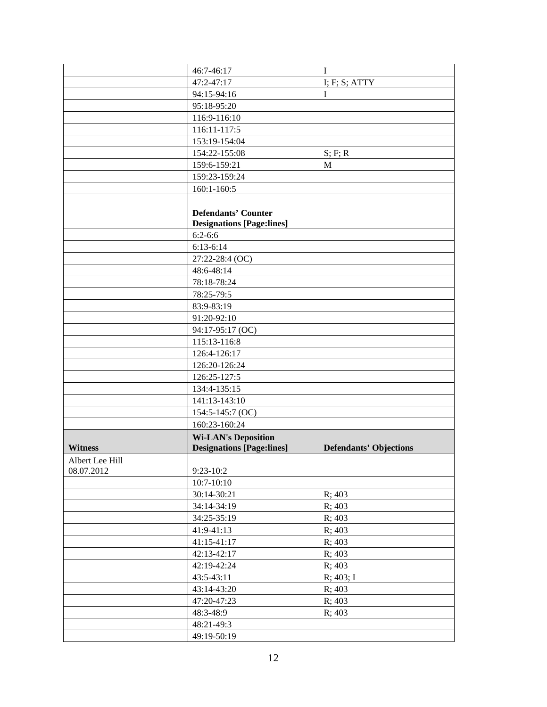|                               | 46:7-46:17                                                     | $\mathbf I$                   |
|-------------------------------|----------------------------------------------------------------|-------------------------------|
|                               | 47:2-47:17                                                     | I; F; S; ATTY                 |
|                               | 94:15-94:16                                                    | $\bf{I}$                      |
|                               | 95:18-95:20                                                    |                               |
|                               | 116:9-116:10                                                   |                               |
|                               | 116:11-117:5                                                   |                               |
|                               | 153:19-154:04                                                  |                               |
|                               | 154:22-155:08                                                  | S; F; R                       |
|                               | 159:6-159:21                                                   | $\mathbf M$                   |
|                               | 159:23-159:24                                                  |                               |
|                               | 160:1-160:5                                                    |                               |
|                               |                                                                |                               |
|                               | <b>Defendants' Counter</b><br><b>Designations [Page:lines]</b> |                               |
|                               | $6:2 - 6:6$                                                    |                               |
|                               | $6:13-6:14$                                                    |                               |
|                               | 27:22-28:4 (OC)                                                |                               |
|                               | 48:6-48:14                                                     |                               |
|                               | 78:18-78:24                                                    |                               |
|                               | 78:25-79:5                                                     |                               |
|                               | 83:9-83:19                                                     |                               |
|                               | 91:20-92:10                                                    |                               |
|                               | 94:17-95:17 (OC)                                               |                               |
|                               | 115:13-116:8                                                   |                               |
|                               | 126:4-126:17                                                   |                               |
|                               | 126:20-126:24                                                  |                               |
|                               | 126:25-127:5                                                   |                               |
|                               | 134:4-135:15                                                   |                               |
|                               | 141:13-143:10                                                  |                               |
|                               | 154:5-145:7 (OC)                                               |                               |
|                               | 160:23-160:24                                                  |                               |
|                               | <b>Wi-LAN's Deposition</b>                                     |                               |
| <b>Witness</b>                | <b>Designations [Page:lines]</b>                               | <b>Defendants' Objections</b> |
| Albert Lee Hill<br>08.07.2012 | $9:23-10:2$                                                    |                               |
|                               | $10:7 - 10:10$                                                 |                               |
|                               | 30:14-30:21                                                    | R; 403                        |
|                               | 34:14-34:19                                                    | R; 403                        |
|                               | 34:25-35:19                                                    | R; 403                        |
|                               | 41:9-41:13                                                     | R; 403                        |
|                               | 41:15-41:17                                                    | R; 403                        |
|                               | 42:13-42:17                                                    | R; 403                        |
|                               | 42:19-42:24                                                    | R: 403                        |
|                               | 43:5-43:11                                                     | R; 403; I                     |
|                               | 43:14-43:20                                                    | R; 403                        |
|                               | 47:20-47:23                                                    | R; 403                        |
|                               | 48:3-48:9                                                      | R; 403                        |
|                               | 48:21-49:3                                                     |                               |
|                               | 49:19-50:19                                                    |                               |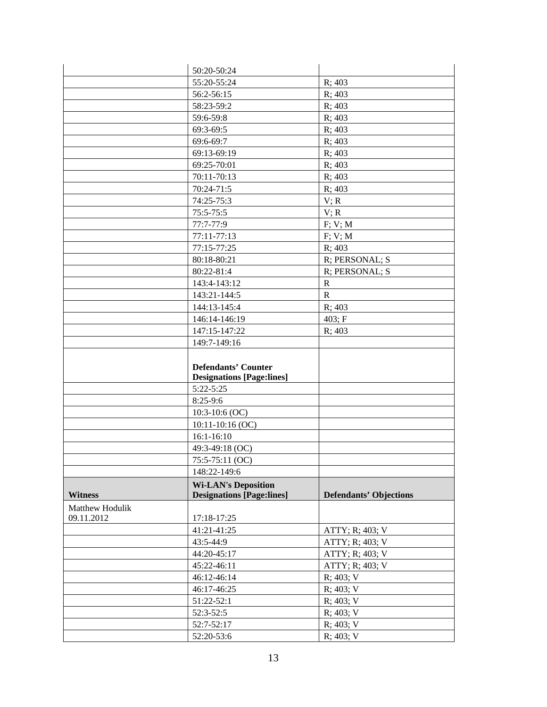|                 | 50:20-50:24                      |                               |
|-----------------|----------------------------------|-------------------------------|
|                 | 55:20-55:24                      | R; 403                        |
|                 | 56:2-56:15                       | R; 403                        |
|                 | 58:23-59:2                       | R; 403                        |
|                 | 59:6-59:8                        | R; 403                        |
|                 | 69:3-69:5                        | R; 403                        |
|                 | 69:6-69:7                        | R; 403                        |
|                 | 69:13-69:19                      | R; 403                        |
|                 | 69:25-70:01                      | R; 403                        |
|                 | 70:11-70:13                      | R: 403                        |
|                 | 70:24-71:5                       | R; 403                        |
|                 | 74:25-75:3                       | V; R                          |
|                 | $75:5 - 75:5$                    | V; R                          |
|                 | 77:7-77:9                        | F; V; M                       |
|                 | 77:11-77:13                      | F; V; M                       |
|                 | 77:15-77:25                      | R; 403                        |
|                 | 80:18-80:21                      | R; PERSONAL; S                |
|                 | 80:22-81:4                       | R; PERSONAL; S                |
|                 | 143:4-143:12                     | $\mathbb{R}$                  |
|                 | 143:21-144:5                     | $\mathbb{R}$                  |
|                 | 144:13-145:4                     | R; 403                        |
|                 | 146:14-146:19                    | 403; F                        |
|                 | 147:15-147:22                    | R: 403                        |
|                 | 149:7-149:16                     |                               |
|                 | <b>Defendants' Counter</b>       |                               |
|                 | <b>Designations [Page:lines]</b> |                               |
|                 | $5:22 - 5:25$                    |                               |
|                 | $8:25-9:6$                       |                               |
|                 | $10:3-10:6$ (OC)                 |                               |
|                 | 10:11-10:16 (OC)                 |                               |
|                 | $16:1 - 16:10$                   |                               |
|                 | 49:3-49:18 (OC)                  |                               |
|                 | 75:5-75:11 (OC)                  |                               |
|                 | 148:22-149:6                     |                               |
|                 | <b>Wi-LAN's Deposition</b>       |                               |
| <b>Witness</b>  | <b>Designations [Page:lines]</b> | <b>Defendants' Objections</b> |
| Matthew Hodulik |                                  |                               |
| 09.11.2012      | 17:18-17:25                      |                               |
|                 | 41:21-41:25                      | ATTY; R; 403; V               |
|                 | 43:5-44:9                        | ATTY; R; 403; V               |
|                 | 44:20-45:17                      | ATTY; R; 403; V               |
|                 | 45:22-46:11                      | ATTY; R; 403; V               |
|                 | 46:12-46:14                      | R; 403; V                     |
|                 | 46:17-46:25                      | R; 403; V                     |
|                 | 51:22-52:1                       | R; 403; V                     |
|                 | 52:3-52:5                        | R; 403; V                     |
|                 | 52:7-52:17<br>52:20-53:6         | R; 403; V<br>R; 403; V        |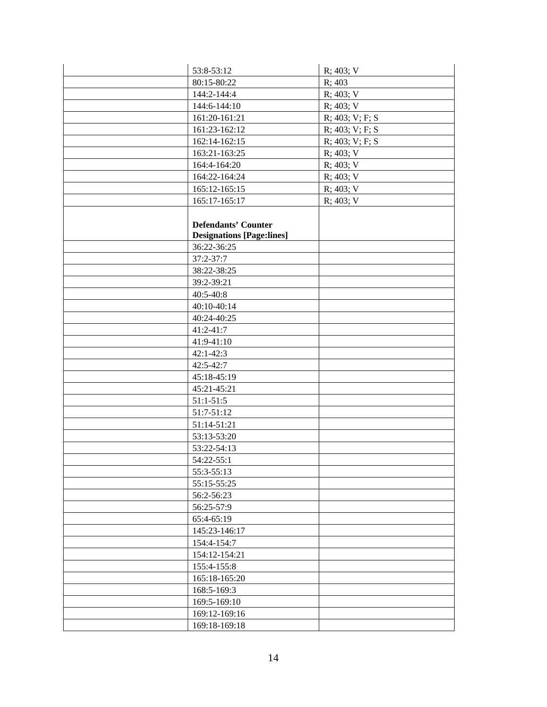| 53:8-53:12                       | R; 403; V       |
|----------------------------------|-----------------|
| 80:15-80:22                      | R; 403          |
| 144:2-144:4                      | $R$ ; 403; V    |
| 144:6-144:10                     | R; 403; V       |
| 161:20-161:21                    | R; 403; V; F; S |
| 161:23-162:12                    | R; 403; V; F; S |
| 162:14-162:15                    | R; 403; V; F; S |
| 163:21-163:25                    | $R$ ; 403; V    |
| 164:4-164:20                     | R; 403; V       |
| 164:22-164:24                    | R; 403; V       |
| 165:12-165:15                    | R; 403; V       |
| 165:17-165:17                    | R; 403; V       |
|                                  |                 |
| <b>Defendants' Counter</b>       |                 |
| <b>Designations [Page:lines]</b> |                 |
| 36:22-36:25                      |                 |
| 37:2-37:7                        |                 |
| 38:22-38:25                      |                 |
| 39:2-39:21                       |                 |
| 40:5-40:8                        |                 |
| 40:10-40:14                      |                 |
| 40:24-40:25                      |                 |
| $41:2 - 41:7$                    |                 |
| 41:9-41:10                       |                 |
| $42:1 - 42:3$                    |                 |
| $42:5 - 42:7$                    |                 |
| 45:18-45:19                      |                 |
| 45:21-45:21                      |                 |
| $51:1-51:5$                      |                 |
| $51:7-51:12$                     |                 |
| 51:14-51:21                      |                 |
| 53:13-53:20                      |                 |
| 53:22-54:13                      |                 |
| 54:22-55:1                       |                 |
| 55:3-55:13                       |                 |
| 55:15-55:25                      |                 |
| 56:2-56:23                       |                 |
| 56:25-57:9                       |                 |
| 65:4-65:19                       |                 |
| 145:23-146:17                    |                 |
| 154:4-154:7                      |                 |
| 154:12-154:21                    |                 |
| 155:4-155:8                      |                 |
| 165:18-165:20                    |                 |
| 168:5-169:3                      |                 |
| 169:5-169:10                     |                 |
| 169:12-169:16                    |                 |
| 169:18-169:18                    |                 |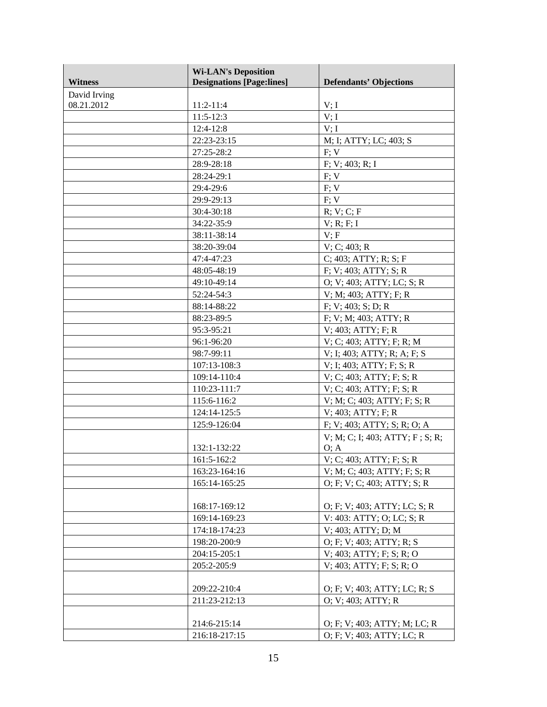| <b>Witness</b> | <b>Wi-LAN's Deposition</b><br><b>Designations [Page:lines]</b> | <b>Defendants' Objections</b>   |
|----------------|----------------------------------------------------------------|---------------------------------|
| David Irving   |                                                                |                                 |
| 08.21.2012     | $11:2-11:4$                                                    | V; I                            |
|                | $11:5-12:3$                                                    | V; I                            |
|                | $12:4-12:8$                                                    | V; I                            |
|                | 22:23-23:15                                                    | M; I; ATTY; LC; 403; S          |
|                | 27:25-28:2                                                     | F: V                            |
|                | 28:9-28:18                                                     | F: V: 403; R: I                 |
|                | 28:24-29:1                                                     | F; V                            |
|                | 29:4-29:6                                                      | F: V                            |
|                | 29:9-29:13                                                     | F; V                            |
|                | $30:4-30:18$                                                   | R; V; C; F                      |
|                | 34:22-35:9                                                     | $V$ ; R; F; I                   |
|                | 38:11-38:14                                                    | V; F                            |
|                | 38:20-39:04                                                    | V; C; 403; R                    |
|                | 47:4-47:23                                                     | C; 403; ATTY; R; S; F           |
|                | 48:05-48:19                                                    | F; V; 403; ATTY; S; R           |
|                | 49:10-49:14                                                    | O; V; 403; ATTY; LC; S; R       |
|                | 52:24-54:3                                                     | V; M; 403; ATTY; F; R           |
|                | 88:14-88:22                                                    | F; V; 403; S; D; R              |
|                | 88:23-89:5                                                     | F; V; M; 403; ATTY; R           |
|                | 95:3-95:21                                                     | V; 403; ATTY; F; R              |
|                | 96:1-96:20                                                     | V; C; 403; ATTY; F; R; M        |
|                | 98:7-99:11                                                     | V; I; 403; ATTY; R; A; F; S     |
|                | 107:13-108:3                                                   | $V$ ; I; 403; ATTY; F; S; R     |
|                | 109:14-110:4                                                   | V; C; 403; ATTY; F; S; R        |
|                | 110:23-111:7                                                   | V; C; 403; ATTY; F; S; R        |
|                | 115:6-116:2                                                    | V; M; C; 403; ATTY; F; S; R     |
|                | 124:14-125:5                                                   | $V$ ; 403; ATTY; F; R           |
|                | 125:9-126:04                                                   | F; V; 403; ATTY; S; R; O; A     |
|                |                                                                | V; M; C; I; 403; ATTY; F; S; R; |
|                | 132:1-132:22                                                   | O; A                            |
|                | 161:5-162:2                                                    | V; C; 403; ATTY; F; S; R        |
|                | 163:23-164:16                                                  | V; M; C; 403; ATTY; F; S; R     |
|                | 165:14-165:25                                                  | O; F; V; C; 403; ATTY; S; R     |
|                | 168:17-169:12                                                  | O; F; V; 403; ATTY; LC; S; R    |
|                | 169:14-169:23                                                  | V: 403: ATTY; O; LC; S; R       |
|                | 174:18-174:23                                                  | V; 403; ATTY; D; M              |
|                | 198:20-200:9                                                   | O; F; V; 403; ATTY; R; S        |
|                | 204:15-205:1                                                   | $V$ ; 403; ATTY; F; S; R; O     |
|                | 205:2-205:9                                                    | $V$ ; 403; ATTY; F; S; R; O     |
|                |                                                                |                                 |
|                | 209:22-210:4                                                   | O; F; V; 403; ATTY; LC; R; S    |
|                | 211:23-212:13                                                  | O; V; 403; ATTY; R              |
|                |                                                                |                                 |
|                | 214:6-215:14                                                   | O; F; V; 403; ATTY; M; LC; R    |
|                | 216:18-217:15                                                  | O; F; V; 403; ATTY; LC; R       |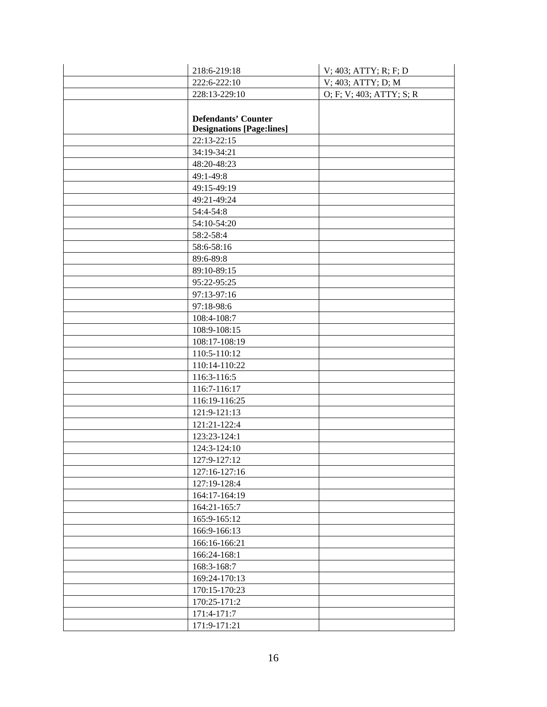| 218:6-219:18                     | V; 403; ATTY; R; F; D    |
|----------------------------------|--------------------------|
| 222:6-222:10                     | V; 403; ATTY; D; M       |
| 228:13-229:10                    | O; F; V; 403; ATTY; S; R |
|                                  |                          |
| <b>Defendants' Counter</b>       |                          |
| <b>Designations [Page:lines]</b> |                          |
| 22:13-22:15                      |                          |
| 34:19-34:21                      |                          |
| 48:20-48:23                      |                          |
| 49:1-49:8                        |                          |
| 49:15-49:19                      |                          |
| 49:21-49:24                      |                          |
| 54:4-54:8                        |                          |
| 54:10-54:20                      |                          |
| 58:2-58:4                        |                          |
| 58:6-58:16                       |                          |
| 89:6-89:8                        |                          |
| 89:10-89:15                      |                          |
| 95:22-95:25                      |                          |
| 97:13-97:16                      |                          |
| 97:18-98:6                       |                          |
| 108:4-108:7                      |                          |
| 108:9-108:15                     |                          |
| 108:17-108:19                    |                          |
| 110:5-110:12                     |                          |
| 110:14-110:22                    |                          |
| 116:3-116:5                      |                          |
| 116:7-116:17                     |                          |
| 116:19-116:25                    |                          |
| 121:9-121:13                     |                          |
| 121:21-122:4                     |                          |
| 123:23-124:1                     |                          |
| 124:3-124:10                     |                          |
| 127:9-127:12                     |                          |
| 127:16-127:16                    |                          |
| 127:19-128:4                     |                          |
| 164:17-164:19                    |                          |
| 164:21-165:7                     |                          |
| 165:9-165:12                     |                          |
| 166:9-166:13                     |                          |
| 166:16-166:21                    |                          |
| 166:24-168:1                     |                          |
| 168:3-168:7                      |                          |
| 169:24-170:13                    |                          |
| 170:15-170:23                    |                          |
| 170:25-171:2                     |                          |
| 171:4-171:7                      |                          |
| 171:9-171:21                     |                          |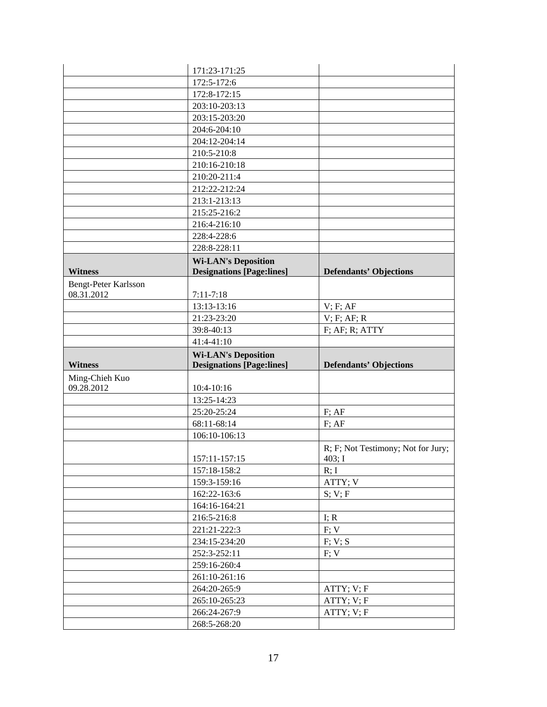|                      | 171:23-171:25                    |                                    |
|----------------------|----------------------------------|------------------------------------|
|                      | 172:5-172:6                      |                                    |
|                      | 172:8-172:15                     |                                    |
|                      | 203:10-203:13                    |                                    |
|                      | 203:15-203:20                    |                                    |
|                      | 204:6-204:10                     |                                    |
|                      | 204:12-204:14                    |                                    |
|                      | 210:5-210:8                      |                                    |
|                      | 210:16-210:18                    |                                    |
|                      | 210:20-211:4                     |                                    |
|                      | 212:22-212:24                    |                                    |
|                      | 213:1-213:13                     |                                    |
|                      | 215:25-216:2                     |                                    |
|                      | 216:4-216:10                     |                                    |
|                      | 228:4-228:6                      |                                    |
|                      | 228:8-228:11                     |                                    |
|                      | <b>Wi-LAN's Deposition</b>       |                                    |
| <b>Witness</b>       | <b>Designations [Page:lines]</b> | <b>Defendants' Objections</b>      |
| Bengt-Peter Karlsson |                                  |                                    |
| 08.31.2012           | $7:11 - 7:18$                    |                                    |
|                      | 13:13-13:16                      | $V$ ; $F$ ; $AF$                   |
|                      | 21:23-23:20                      | $V$ ; F; AF; R                     |
|                      | 39:8-40:13                       | $F$ ; A $F$ ; R; ATTY              |
|                      | 41:4-41:10                       |                                    |
|                      |                                  |                                    |
|                      | <b>Wi-LAN's Deposition</b>       |                                    |
| <b>Witness</b>       | <b>Designations [Page:lines]</b> | <b>Defendants' Objections</b>      |
| Ming-Chieh Kuo       |                                  |                                    |
| 09.28.2012           | 10:4-10:16                       |                                    |
|                      | 13:25-14:23                      |                                    |
|                      | 25:20-25:24                      | $F$ ; AF                           |
|                      | 68:11-68:14                      | $F$ ; A $F$                        |
|                      | 106:10-106:13                    |                                    |
|                      |                                  | R; F; Not Testimony; Not for Jury; |
|                      | 157:11-157:15                    | 403; I                             |
|                      | 157:18-158:2                     | R; I                               |
|                      | 159:3-159:16                     | ATTY; V                            |
|                      | 162:22-163:6                     | S; V; F                            |
|                      | 164:16-164:21                    |                                    |
|                      | 216:5-216:8                      | I; $R$                             |
|                      | 221:21-222:3                     | F; V                               |
|                      | 234:15-234:20                    | F; V; S                            |
|                      | 252:3-252:11                     | F; V                               |
|                      | 259:16-260:4                     |                                    |
|                      | 261:10-261:16                    |                                    |
|                      | 264:20-265:9                     | ATTY; V; F                         |
|                      | 265:10-265:23                    | ATTY; V; F                         |
|                      | 266:24-267:9<br>268:5-268:20     | ATTY; V; F                         |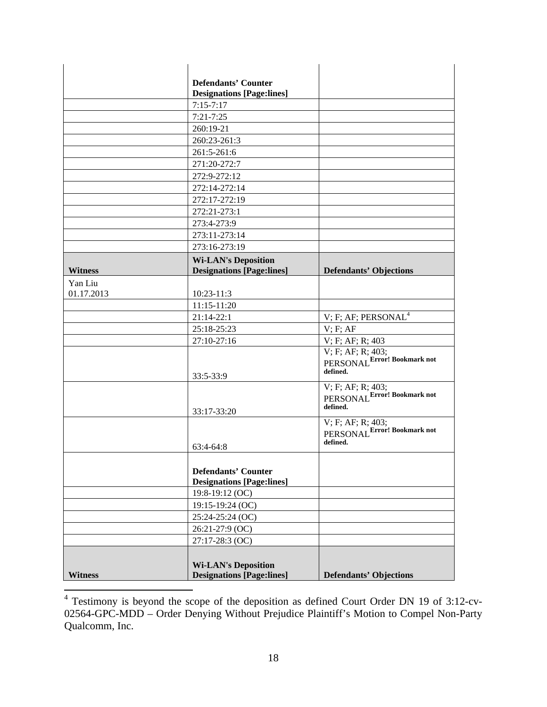|                | <b>Defendants' Counter</b>                                     |                                                               |
|----------------|----------------------------------------------------------------|---------------------------------------------------------------|
|                | <b>Designations [Page:lines]</b>                               |                                                               |
|                | $7:15-7:17$                                                    |                                                               |
|                | $7:21 - 7:25$                                                  |                                                               |
|                | 260:19-21                                                      |                                                               |
|                | 260:23-261:3                                                   |                                                               |
|                | 261:5-261:6                                                    |                                                               |
|                | 271:20-272:7                                                   |                                                               |
|                | 272:9-272:12                                                   |                                                               |
|                | 272:14-272:14                                                  |                                                               |
|                | 272:17-272:19                                                  |                                                               |
|                | 272:21-273:1                                                   |                                                               |
|                | 273:4-273:9                                                    |                                                               |
|                | 273:11-273:14                                                  |                                                               |
|                | 273:16-273:19                                                  |                                                               |
|                | <b>Wi-LAN's Deposition</b>                                     |                                                               |
| <b>Witness</b> | <b>Designations [Page:lines]</b>                               | <b>Defendants' Objections</b>                                 |
| Yan Liu        |                                                                |                                                               |
| 01.17.2013     | $10:23 - 11:3$                                                 |                                                               |
|                | 11:15-11:20                                                    |                                                               |
|                | $21:14-22:1$                                                   | V; F; AF; PERSONAL $4$                                        |
|                | 25:18-25:23                                                    | V; F; AF                                                      |
|                | 27:10-27:16                                                    | V; F; AF; R; 403                                              |
|                | 33:5-33:9                                                      | V; F; AF; R; 403;<br>PERSONAL Error! Bookmark not<br>defined. |
|                | 33:17-33:20                                                    | V; F; AF; R; 403;<br>PERSONAL Error! Bookmark not<br>defined. |
|                | $63:4-64:8$                                                    | V; F; AF; R; 403;<br>PERSONAL Error! Bookmark not<br>defined. |
|                |                                                                |                                                               |
|                | <b>Defendants' Counter</b><br><b>Designations [Page:lines]</b> |                                                               |
|                | 19:8-19:12 (OC)                                                |                                                               |
|                | 19:15-19:24 (OC)                                               |                                                               |
|                | 25:24-25:24 (OC)                                               |                                                               |
|                | 26:21-27:9 (OC)                                                |                                                               |
|                | 27:17-28:3 (OC)                                                |                                                               |
| <b>Witness</b> | <b>Wi-LAN's Deposition</b><br><b>Designations [Page:lines]</b> | <b>Defendants' Objections</b>                                 |

 4 Testimony is beyond the scope of the deposition as defined Court Order DN 19 of 3:12-cv-02564-GPC-MDD – Order Denying Without Prejudice Plaintiff's Motion to Compel Non-Party Qualcomm, Inc.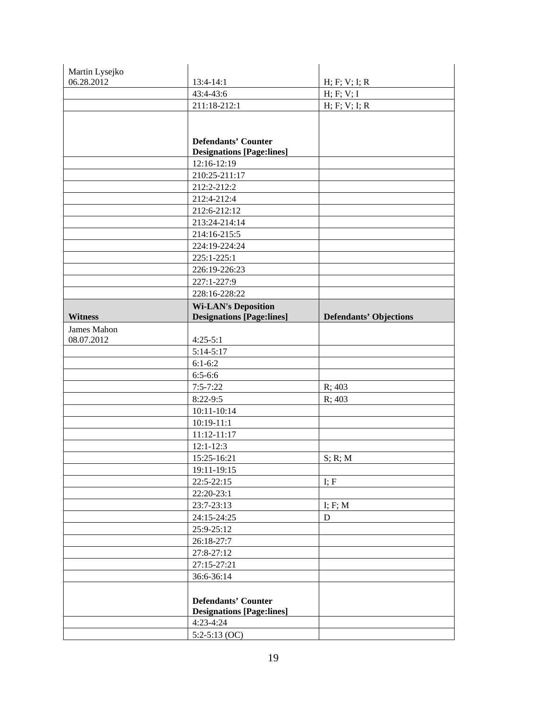| Martin Lysejko |                                                 |                               |
|----------------|-------------------------------------------------|-------------------------------|
| 06.28.2012     | 13:4-14:1                                       | H; F; V; I; R                 |
|                | 43:4-43:6                                       | H; F; V; I                    |
|                | 211:18-212:1                                    | H; F; V; I; R                 |
|                |                                                 |                               |
|                |                                                 |                               |
|                | <b>Defendants' Counter</b>                      |                               |
|                | <b>Designations [Page:lines]</b>                |                               |
|                | 12:16-12:19                                     |                               |
|                | 210:25-211:17                                   |                               |
|                | 212:2-212:2                                     |                               |
|                | 212:4-212:4                                     |                               |
|                | 212:6-212:12                                    |                               |
|                | 213:24-214:14                                   |                               |
|                | 214:16-215:5                                    |                               |
|                | 224:19-224:24                                   |                               |
|                | 225:1-225:1                                     |                               |
|                | 226:19-226:23                                   |                               |
|                | 227:1-227:9                                     |                               |
|                | 228:16-228:22                                   |                               |
|                | <b>Wi-LAN's Deposition</b>                      |                               |
| <b>Witness</b> | <b>Designations [Page:lines]</b>                | <b>Defendants' Objections</b> |
| James Mahon    |                                                 |                               |
| 08.07.2012     | $4:25-5:1$                                      |                               |
|                | $5:14-5:17$                                     |                               |
|                | $6:1-6:2$                                       |                               |
|                | $6:5 - 6:6$                                     |                               |
|                | $7:5 - 7:22$<br>$8:22-9:5$                      | R; 403<br>R; 403              |
|                | 10:11-10:14                                     |                               |
|                | $10:19 - 11:1$                                  |                               |
|                | $11:12 - 11:17$                                 |                               |
|                | $12:1 - 12:3$                                   |                               |
|                | 15:25-16:21                                     | S; R; M                       |
|                | 19:11-19:15                                     |                               |
|                | $22:5 - 22:15$                                  | I; F                          |
|                | 22:20-23:1                                      |                               |
|                | 23:7-23:13                                      | I; F; M                       |
|                | 24:15-24:25                                     | D                             |
|                | 25:9-25:12                                      |                               |
|                | 26:18-27:7                                      |                               |
|                | 27:8-27:12                                      |                               |
|                | 27:15-27:21                                     |                               |
|                |                                                 |                               |
|                |                                                 |                               |
|                | 36:6-36:14                                      |                               |
|                |                                                 |                               |
|                | <b>Defendants' Counter</b>                      |                               |
|                | <b>Designations [Page:lines]</b><br>$4:23-4:24$ |                               |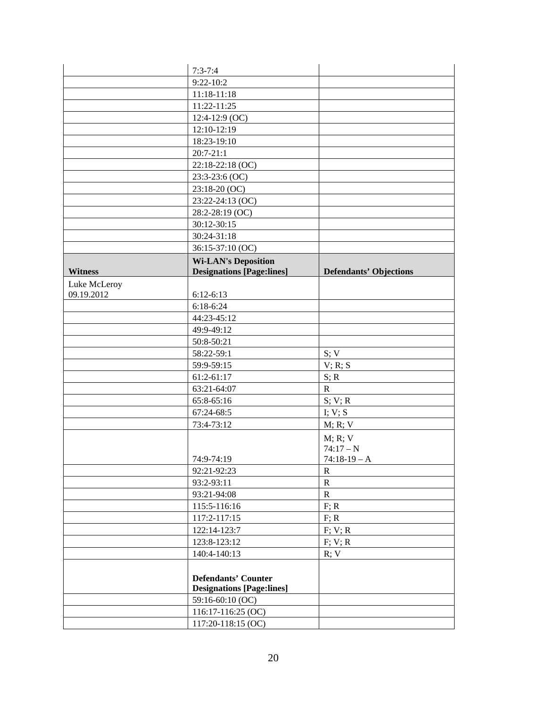|                | $7:3 - 7:4$                      |                               |
|----------------|----------------------------------|-------------------------------|
|                | $9:22-10:2$                      |                               |
|                | 11:18-11:18                      |                               |
|                | 11:22-11:25                      |                               |
|                | $12:4-12:9$ (OC)                 |                               |
|                | 12:10-12:19                      |                               |
|                | 18:23-19:10                      |                               |
|                | $20:7-21:1$                      |                               |
|                | 22:18-22:18 (OC)                 |                               |
|                | 23:3-23:6 (OC)                   |                               |
|                | 23:18-20 (OC)                    |                               |
|                | 23:22-24:13 (OC)                 |                               |
|                | 28:2-28:19 (OC)                  |                               |
|                | 30:12-30:15                      |                               |
|                | 30:24-31:18                      |                               |
|                | 36:15-37:10 (OC)                 |                               |
|                | <b>Wi-LAN's Deposition</b>       |                               |
| <b>Witness</b> | <b>Designations [Page:lines]</b> | <b>Defendants' Objections</b> |
| Luke McLeroy   |                                  |                               |
| 09.19.2012     | $6:12-6:13$                      |                               |
|                | $6:18-6:24$                      |                               |
|                | 44:23-45:12                      |                               |
|                | 49:9-49:12                       |                               |
|                | 50:8-50:21                       |                               |
|                | 58:22-59:1                       | S; V                          |
|                | 59:9-59:15                       | V; R; S                       |
|                | $61:2-61:17$                     | S; R                          |
|                | 63:21-64:07                      | $\mathbb{R}$                  |
|                | 65:8-65:16                       | S; V; R                       |
|                | 67:24-68:5                       | I; V; S                       |
|                | 73:4-73:12                       | M; R; V                       |
|                |                                  | M; R; V                       |
|                |                                  | $74:17-N$                     |
|                | 74:9-74:19                       | $74:18-19 - A$                |
|                | 92:21-92:23                      | $\mathbb{R}$                  |
|                | 93:2-93:11                       | $\mathbb{R}$                  |
|                | 93:21-94:08                      | $\mathbf R$                   |
|                | 115:5-116:16                     | F; R                          |
|                | 117:2-117:15                     | F; R                          |
|                | 122:14-123:7                     | F; V; R                       |
|                | 123:8-123:12                     | F; V; R                       |
|                | 140:4-140:13                     | R; V                          |
|                |                                  |                               |
|                | <b>Defendants' Counter</b>       |                               |
|                | <b>Designations [Page:lines]</b> |                               |
|                | 59:16-60:10 (OC)                 |                               |
|                | 116:17-116:25 (OC)               |                               |
|                | 117:20-118:15 (OC)               |                               |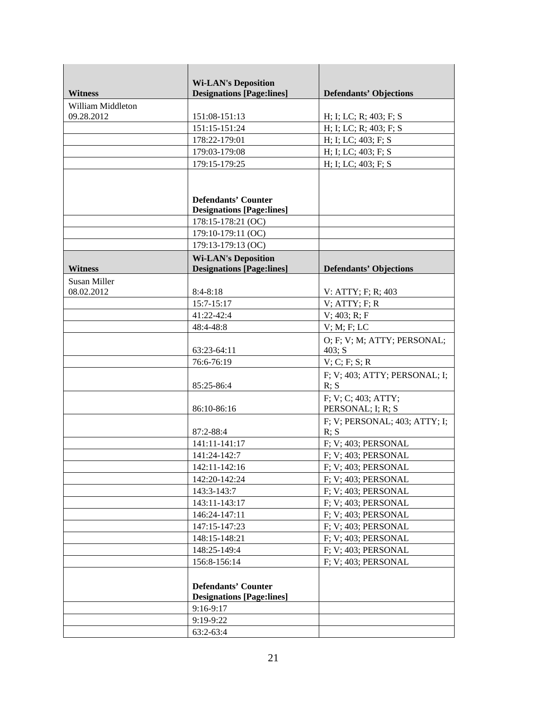|                   | <b>Wi-LAN's Deposition</b>       |                                       |
|-------------------|----------------------------------|---------------------------------------|
| <b>Witness</b>    | <b>Designations [Page:lines]</b> | <b>Defendants' Objections</b>         |
| William Middleton |                                  |                                       |
| 09.28.2012        | 151:08-151:13                    | H; I; LC; R; 403; F; S                |
|                   | 151:15-151:24                    | H; I; LC; R; 403; F; S                |
|                   | 178:22-179:01                    | H; I; LC; 403; F; S                   |
|                   | 179:03-179:08                    | H; I; LC; 403; F; S                   |
|                   | 179:15-179:25                    | H; I; LC; 403; F; S                   |
|                   |                                  |                                       |
|                   | <b>Defendants' Counter</b>       |                                       |
|                   | <b>Designations [Page:lines]</b> |                                       |
|                   | 178:15-178:21 (OC)               |                                       |
|                   | 179:10-179:11 (OC)               |                                       |
|                   | 179:13-179:13 (OC)               |                                       |
|                   | <b>Wi-LAN's Deposition</b>       |                                       |
| <b>Witness</b>    | <b>Designations [Page:lines]</b> | <b>Defendants' Objections</b>         |
| Susan Miller      |                                  |                                       |
| 08.02.2012        | $8:4-8:18$                       | V: ATTY; F; R; 403                    |
|                   | 15:7-15:17                       | $V$ ; ATTY; F; R                      |
|                   | 41:22-42:4                       | V: 403; R; F                          |
|                   | 48:4-48:8                        | $V$ ; M; F; LC                        |
|                   |                                  | O; F; V; M; ATTY; PERSONAL;           |
|                   | 63:23-64:11                      | 403; S                                |
|                   | 76:6-76:19                       | V; C; F; S; R                         |
|                   | 85:25-86:4                       | F; V; 403; ATTY; PERSONAL; I;<br>R; S |
|                   |                                  | F; V; C; 403; ATTY;                   |
|                   | 86:10-86:16                      | PERSONAL; I; R; S                     |
|                   |                                  | F; V; PERSONAL; 403; ATTY; I;         |
|                   | 87:2-88:4                        | R; S                                  |
|                   | 141:11-141:17                    | F; V; 403; PERSONAL                   |
|                   | 141:24-142:7                     | F; V; 403; PERSONAL                   |
|                   | 142:11-142:16                    | F; V; 403; PERSONAL                   |
|                   | 142:20-142:24                    | F; V; 403; PERSONAL                   |
|                   | 143:3-143:7                      | F; V; 403; PERSONAL                   |
|                   | 143:11-143:17                    | F; V; 403; PERSONAL                   |
|                   | 146:24-147:11                    | F; V; 403; PERSONAL                   |
|                   | 147:15-147:23                    | F; V; 403; PERSONAL                   |
|                   | 148:15-148:21                    | F; V; 403; PERSONAL                   |
|                   | 148:25-149:4                     | F; V; 403; PERSONAL                   |
|                   | 156:8-156:14                     | F: V: 403; PERSONAL                   |
|                   |                                  |                                       |
|                   | <b>Defendants' Counter</b>       |                                       |
|                   | <b>Designations [Page:lines]</b> |                                       |
|                   | 9:16-9:17                        |                                       |
|                   | 9:19-9:22                        |                                       |
|                   | 63:2-63:4                        |                                       |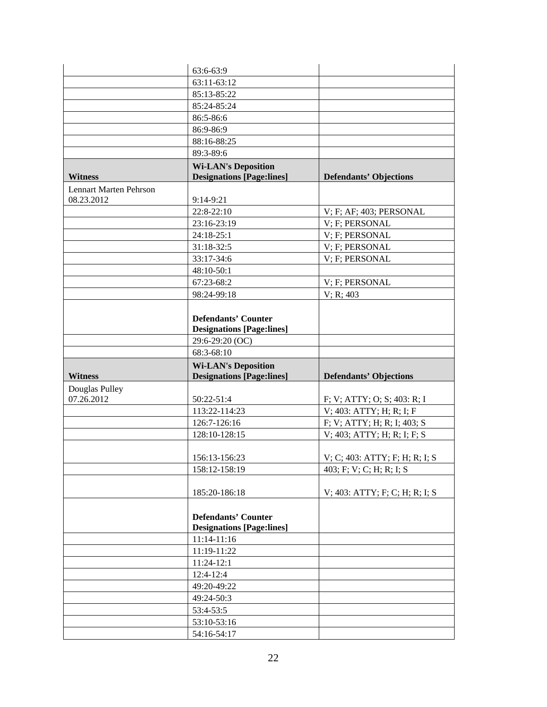|                               | 63:6-63:9                                                      |                                |
|-------------------------------|----------------------------------------------------------------|--------------------------------|
|                               | 63:11-63:12                                                    |                                |
|                               | 85:13-85:22                                                    |                                |
|                               | 85:24-85:24                                                    |                                |
|                               | 86:5-86:6                                                      |                                |
|                               | 86:9-86:9                                                      |                                |
|                               | 88:16-88:25                                                    |                                |
|                               | 89:3-89:6                                                      |                                |
|                               | <b>Wi-LAN's Deposition</b>                                     |                                |
| <b>Witness</b>                | <b>Designations [Page:lines]</b>                               | <b>Defendants' Objections</b>  |
| <b>Lennart Marten Pehrson</b> |                                                                |                                |
| 08.23.2012                    | 9:14-9:21                                                      |                                |
|                               | 22:8-22:10                                                     | V; F; AF; 403; PERSONAL        |
|                               | 23:16-23:19                                                    | V; F; PERSONAL                 |
|                               | 24:18-25:1                                                     | V; F; PERSONAL                 |
|                               | 31:18-32:5                                                     | V; F; PERSONAL                 |
|                               | 33:17-34:6                                                     | V: F: PERSONAL                 |
|                               | 48:10-50:1                                                     |                                |
|                               | 67:23-68:2                                                     | V; F; PERSONAL                 |
|                               | 98:24-99:18                                                    | V; R; 403                      |
|                               |                                                                |                                |
|                               | <b>Defendants' Counter</b>                                     |                                |
|                               | <b>Designations [Page:lines]</b>                               |                                |
|                               | 29:6-29:20 (OC)                                                |                                |
|                               |                                                                |                                |
|                               | 68:3-68:10                                                     |                                |
| <b>Witness</b>                | <b>Wi-LAN's Deposition</b><br><b>Designations [Page:lines]</b> | <b>Defendants' Objections</b>  |
| Douglas Pulley                |                                                                |                                |
| 07.26.2012                    | 50:22-51:4                                                     | F; V; ATTY; O; S; 403: R; I    |
|                               | 113:22-114:23                                                  | V; 403: ATTY; H; R; I; F       |
|                               | 126:7-126:16                                                   | F; V; ATTY; H; R; I; 403; S    |
|                               | 128:10-128:15                                                  | V; 403; ATTY; H; R; I; F; S    |
|                               |                                                                |                                |
|                               | 156:13-156:23                                                  | V; C; 403: ATTY; F; H; R; I; S |
|                               | 158:12-158:19                                                  | 403; F; V; C; H; R; I; S       |
|                               | 185:20-186:18                                                  | V; 403: ATTY; F; C; H; R; I; S |
|                               |                                                                |                                |
|                               | <b>Defendants' Counter</b>                                     |                                |
|                               | <b>Designations [Page:lines]</b>                               |                                |
|                               | 11:14-11:16                                                    |                                |
|                               | 11:19-11:22                                                    |                                |
|                               | 11:24-12:1                                                     |                                |
|                               | $12:4-12:4$                                                    |                                |
|                               | 49:20-49:22                                                    |                                |
|                               | 49:24-50:3                                                     |                                |
|                               | 53:4-53:5                                                      |                                |
|                               | 53:10-53:16                                                    |                                |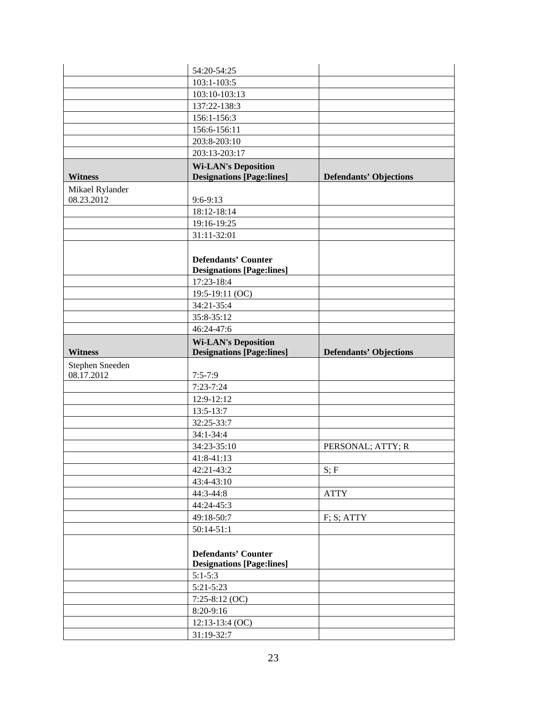|                               | 54:20-54:25                      |                               |
|-------------------------------|----------------------------------|-------------------------------|
|                               | 103:1-103:5                      |                               |
|                               | 103:10-103:13                    |                               |
|                               | 137:22-138:3                     |                               |
|                               | 156:1-156:3                      |                               |
|                               | 156:6-156:11                     |                               |
|                               | 203:8-203:10                     |                               |
|                               | 203:13-203:17                    |                               |
|                               | <b>Wi-LAN's Deposition</b>       |                               |
| <b>Witness</b>                | <b>Designations [Page:lines]</b> | <b>Defendants' Objections</b> |
| Mikael Rylander               |                                  |                               |
| 08.23.2012                    | $9:6-9:13$                       |                               |
|                               | 18:12-18:14                      |                               |
|                               | 19:16-19:25                      |                               |
|                               | 31:11-32:01                      |                               |
|                               |                                  |                               |
|                               | <b>Defendants' Counter</b>       |                               |
|                               | <b>Designations [Page:lines]</b> |                               |
|                               | 17:23-18:4                       |                               |
|                               | 19:5-19:11 (OC)                  |                               |
|                               | 34:21-35:4                       |                               |
|                               | 35:8-35:12                       |                               |
|                               | 46:24-47:6                       |                               |
|                               | <b>Wi-LAN's Deposition</b>       |                               |
| <b>Witness</b>                | <b>Designations [Page:lines]</b> | <b>Defendants' Objections</b> |
|                               |                                  |                               |
|                               |                                  |                               |
| Stephen Sneeden<br>08.17.2012 | $7:5 - 7:9$                      |                               |
|                               | $7:23 - 7:24$                    |                               |
|                               | 12:9-12:12                       |                               |
|                               | 13:5-13:7                        |                               |
|                               | 32:25-33:7                       |                               |
|                               | 34:1-34:4                        |                               |
|                               | 34:23-35:10                      | PERSONAL; ATTY; R             |
|                               | 41:8-41:13                       |                               |
|                               | 42:21-43:2                       | S; F                          |
|                               | 43:4-43:10                       |                               |
|                               | 44:3-44:8                        | <b>ATTY</b>                   |
|                               | 44:24-45:3                       |                               |
|                               | 49:18-50:7                       | F; S; ATTY                    |
|                               | $50:14-51:1$                     |                               |
|                               |                                  |                               |
|                               | <b>Defendants' Counter</b>       |                               |
|                               | <b>Designations [Page:lines]</b> |                               |
|                               | $5:1 - 5:3$                      |                               |
|                               | $5:21 - 5:23$                    |                               |
|                               | $7:25-8:12$ (OC)                 |                               |
|                               | 8:20-9:16                        |                               |
|                               | $12:13-13:4$ (OC)                |                               |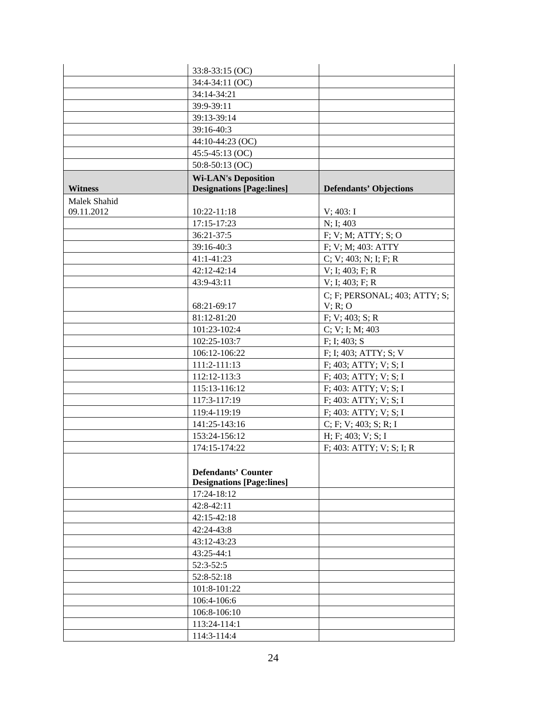|                | 33:8-33:15 (OC)                  |                               |
|----------------|----------------------------------|-------------------------------|
|                | 34:4-34:11 (OC)                  |                               |
|                | 34:14-34:21                      |                               |
|                | 39:9-39:11                       |                               |
|                | 39:13-39:14                      |                               |
|                | 39:16-40:3                       |                               |
|                | 44:10-44:23 (OC)                 |                               |
|                | 45:5-45:13 (OC)                  |                               |
|                | 50:8-50:13 (OC)                  |                               |
|                | <b>Wi-LAN's Deposition</b>       |                               |
| <b>Witness</b> | <b>Designations [Page:lines]</b> | <b>Defendants' Objections</b> |
| Malek Shahid   |                                  |                               |
| 09.11.2012     | 10:22-11:18                      | $V$ ; 403: I                  |
|                | 17:15-17:23                      | N; I; 403                     |
|                | 36:21-37:5                       | F; V; M; ATTY; S; O           |
|                | 39:16-40:3                       | F; V; M; 403: ATTY            |
|                | $41:1 - 41:23$                   | C; V; 403; N; I; F; R         |
|                | 42:12-42:14                      | $V$ ; I; 403; F; R            |
|                | 43:9-43:11                       | $V$ ; I; 403; F; R            |
|                |                                  | C; F; PERSONAL; 403; ATTY; S; |
|                | 68:21-69:17                      | V; R; O                       |
|                | 81:12-81:20                      | F; V; 403; S; R               |
|                | 101:23-102:4                     | C; V; I; M; 403               |
|                | 102:25-103:7                     | F; I; 403; S                  |
|                | 106:12-106:22                    | F; I; 403; ATTY; S; V         |
|                | 111:2-111:13                     | F; 403; ATTY; V; S; I         |
|                | 112:12-113:3                     | F; 403; ATTY; V; S; I         |
|                | 115:13-116:12                    | F; 403: ATTY; V; S; I         |
|                | 117:3-117:19                     | $F$ ; 403: ATTY; V; S; I      |
|                | 119:4-119:19                     | F; 403: ATTY; V; S; I         |
|                | 141:25-143:16                    | C; F; V; 403; S; R; I         |
|                | 153:24-156:12                    | H; F; 403; V; S; I            |
|                | 174:15-174:22                    | F; 403: ATTY; V; S; I; R      |
|                |                                  |                               |
|                | <b>Defendants' Counter</b>       |                               |
|                | <b>Designations [Page:lines]</b> |                               |
|                | 17:24-18:12                      |                               |
|                | 42:8-42:11                       |                               |
|                | 42:15-42:18                      |                               |
|                | 42:24-43:8                       |                               |
|                | 43:12-43:23                      |                               |
|                | 43:25-44:1                       |                               |
|                | $52:3-52:5$                      |                               |
|                | 52:8-52:18                       |                               |
|                | 101:8-101:22                     |                               |
|                | 106:4-106:6                      |                               |
|                | 106:8-106:10                     |                               |
|                | 113:24-114:1                     |                               |
|                | 114:3-114:4                      |                               |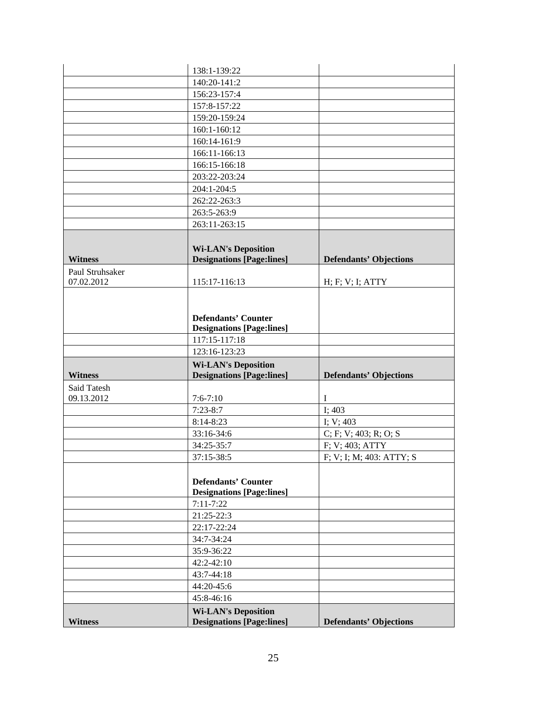|                 | 138:1-139:22                                                                    |                               |
|-----------------|---------------------------------------------------------------------------------|-------------------------------|
|                 | 140:20-141:2                                                                    |                               |
|                 | 156:23-157:4                                                                    |                               |
|                 | 157:8-157:22                                                                    |                               |
|                 | 159:20-159:24                                                                   |                               |
|                 | 160:1-160:12                                                                    |                               |
|                 | 160:14-161:9                                                                    |                               |
|                 | 166:11-166:13                                                                   |                               |
|                 | 166:15-166:18                                                                   |                               |
|                 | 203:22-203:24                                                                   |                               |
|                 | 204:1-204:5                                                                     |                               |
|                 | 262:22-263:3                                                                    |                               |
|                 | 263:5-263:9                                                                     |                               |
|                 | 263:11-263:15                                                                   |                               |
| <b>Witness</b>  | <b>Wi-LAN's Deposition</b><br><b>Designations [Page:lines]</b>                  | <b>Defendants' Objections</b> |
| Paul Struhsaker |                                                                                 |                               |
| 07.02.2012      | 115:17-116:13                                                                   | H; F; V; I; ATTY              |
|                 | <b>Defendants' Counter</b><br><b>Designations [Page:lines]</b><br>117:15-117:18 |                               |
|                 | 123:16-123:23                                                                   |                               |
|                 | <b>Wi-LAN's Deposition</b>                                                      |                               |
| <b>Witness</b>  | <b>Designations [Page:lines]</b>                                                | <b>Defendants' Objections</b> |
|                 |                                                                                 |                               |
| Said Tatesh     |                                                                                 |                               |
| 09.13.2012      | $7:6 - 7:10$                                                                    | $\bf{I}$                      |
|                 | $7:23-8:7$                                                                      | I; 403                        |
|                 | $8:14-8:23$                                                                     | I; $V$ ; 403                  |
|                 | 33:16-34:6                                                                      | C; F; V; 403; R; O; S         |
|                 | 34:25-35:7                                                                      | F; V; 403; ATTY               |
|                 | 37:15-38:5                                                                      | F; V; I; M; 403: ATTY; S      |
|                 | <b>Defendants' Counter</b><br><b>Designations [Page:lines]</b>                  |                               |
|                 | $7:11 - 7:22$                                                                   |                               |
|                 | 21:25-22:3                                                                      |                               |
|                 | 22:17-22:24                                                                     |                               |
|                 | 34:7-34:24                                                                      |                               |
|                 | 35:9-36:22                                                                      |                               |
|                 | 42:2-42:10                                                                      |                               |
|                 | 43:7-44:18                                                                      |                               |
|                 | 44:20-45:6                                                                      |                               |
|                 | 45:8-46:16<br><b>Wi-LAN's Deposition</b>                                        |                               |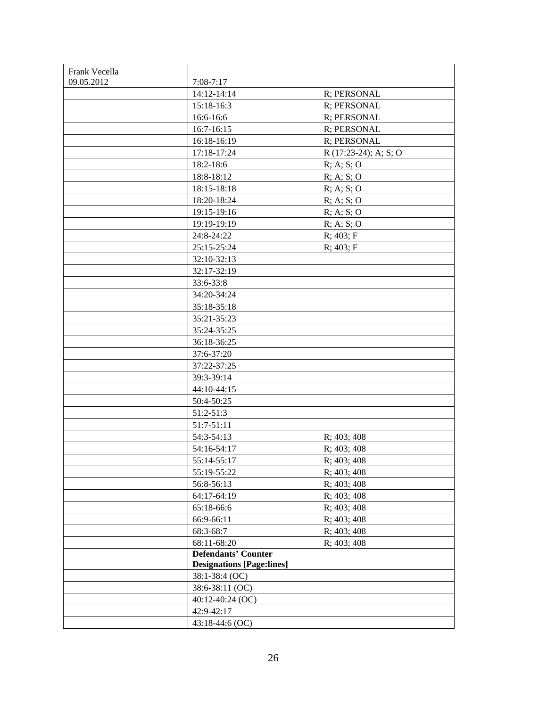| Frank Vecella |                                  |                        |
|---------------|----------------------------------|------------------------|
| 09.05.2012    | $7:08-7:17$                      |                        |
|               | 14:12-14:14                      | R; PERSONAL            |
|               | 15:18-16:3                       | R; PERSONAL            |
|               | 16:6-16:6                        | R; PERSONAL            |
|               | 16:7-16:15                       | R; PERSONAL            |
|               | 16:18-16:19                      | R; PERSONAL            |
|               | 17:18-17:24                      | $R(17:23-24); A; S; O$ |
|               | 18:2-18:6                        | R; A; S; O             |
|               | 18:8-18:12                       | R; A; S; O             |
|               | 18:15-18:18                      | R; A; S; O             |
|               | 18:20-18:24                      | R; A; S; O             |
|               | 19:15-19:16                      | R; A; S; O             |
|               | 19:19-19:19                      | R; A; S; O             |
|               | 24:8-24:22                       | R; 403; F              |
|               | 25:15-25:24                      | R; 403; F              |
|               | 32:10-32:13                      |                        |
|               | 32:17-32:19                      |                        |
|               | 33:6-33:8                        |                        |
|               | 34:20-34:24                      |                        |
|               | 35:18-35:18                      |                        |
|               | 35:21-35:23                      |                        |
|               | 35:24-35:25                      |                        |
|               | 36:18-36:25                      |                        |
|               | 37:6-37:20                       |                        |
|               | 37:22-37:25                      |                        |
|               | 39:3-39:14                       |                        |
|               | 44:10-44:15                      |                        |
|               | 50:4-50:25                       |                        |
|               | 51:2-51:3                        |                        |
|               | 51:7-51:11                       |                        |
|               | 54:3-54:13                       | R; 403; 408            |
|               | 54:16-54:17                      | R; 403; 408            |
|               | 55:14-55:17                      | R; 403; 408            |
|               | 55:19-55:22                      | R; 403; 408            |
|               | 56:8-56:13                       | R; 403; 408            |
|               | 64:17-64:19                      | R; 403; 408            |
|               | 65:18-66:6                       | R; 403; 408            |
|               | 66:9-66:11                       | R; 403; 408            |
|               | 68:3-68:7                        | R; 403; 408            |
|               | 68:11-68:20                      | R; 403; 408            |
|               | <b>Defendants' Counter</b>       |                        |
|               | <b>Designations [Page:lines]</b> |                        |
|               | 38:1-38:4 (OC)                   |                        |
|               | 38:6-38:11 (OC)                  |                        |
|               | 40:12-40:24 (OC)                 |                        |
|               | 42:9-42:17                       |                        |
|               | 43:18-44:6 (OC)                  |                        |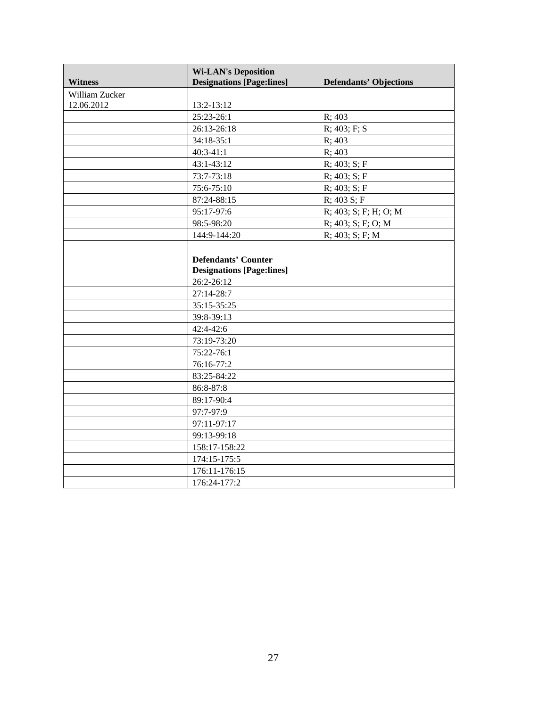| <b>Witness</b> | <b>Wi-LAN's Deposition</b><br><b>Designations [Page:lines]</b> | <b>Defendants' Objections</b> |
|----------------|----------------------------------------------------------------|-------------------------------|
| William Zucker |                                                                |                               |
| 12.06.2012     | 13:2-13:12                                                     |                               |
|                | 25:23-26:1                                                     | R; 403                        |
|                | 26:13-26:18                                                    | $R$ ; 403; F; S               |
|                | 34:18-35:1                                                     | R: 403                        |
|                | $40:3-41:1$                                                    | R; 403                        |
|                | 43:1-43:12                                                     | $R$ ; 403; S; F               |
|                | 73:7-73:18                                                     | R; 403; S; F                  |
|                | 75:6-75:10                                                     | $R$ ; 403; S; F               |
|                | 87:24-88:15                                                    | $R$ ; 403 S; F                |
|                | 95:17-97:6                                                     | R; 403; S; F; H; O; M         |
|                | 98:5-98:20                                                     | $R$ ; 403; S; F; O; M         |
|                | 144:9-144:20                                                   | $R$ ; 403; S; F; M            |
|                |                                                                |                               |
|                | <b>Defendants' Counter</b>                                     |                               |
|                | <b>Designations [Page:lines]</b>                               |                               |
|                | 26:2-26:12                                                     |                               |
|                | 27:14-28:7                                                     |                               |
|                | 35:15-35:25                                                    |                               |
|                | 39:8-39:13                                                     |                               |
|                | $42:4 - 42:6$                                                  |                               |
|                | 73:19-73:20                                                    |                               |
|                | 75:22-76:1                                                     |                               |
|                | 76:16-77:2                                                     |                               |
|                | 83:25-84:22                                                    |                               |
|                | 86:8-87:8                                                      |                               |
|                | 89:17-90:4                                                     |                               |
|                | 97:7-97:9                                                      |                               |
|                | 97:11-97:17                                                    |                               |
|                | 99:13-99:18                                                    |                               |
|                | 158:17-158:22                                                  |                               |
|                | 174:15-175:5                                                   |                               |
|                | 176:11-176:15                                                  |                               |
|                | 176:24-177:2                                                   |                               |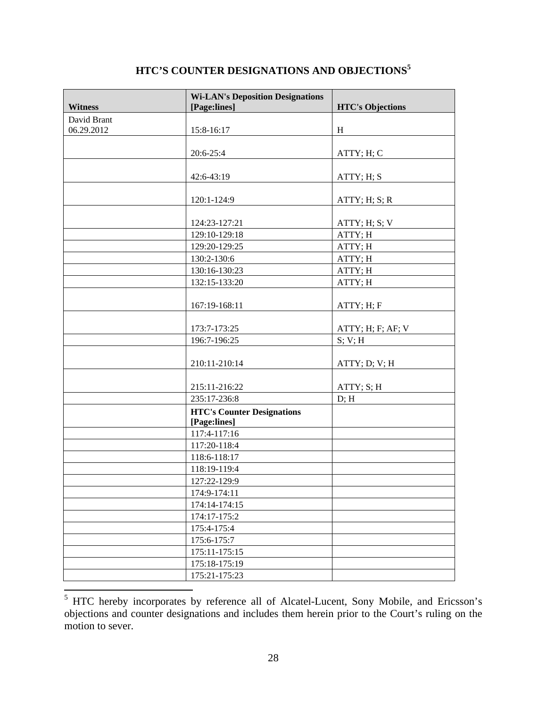| <b>Witness</b> | <b>Wi-LAN's Deposition Designations</b><br>[Page:lines] | <b>HTC's Objections</b> |
|----------------|---------------------------------------------------------|-------------------------|
| David Brant    |                                                         |                         |
| 06.29.2012     | 15:8-16:17                                              | H                       |
|                |                                                         |                         |
|                | 20:6-25:4                                               | ATTY; H; C              |
|                |                                                         |                         |
|                | 42:6-43:19                                              | ATTY; H; S              |
|                |                                                         |                         |
|                | 120:1-124:9                                             | ATTY; H; S; R           |
|                |                                                         |                         |
|                | 124:23-127:21                                           | ATTY; H; S; V           |
|                | 129:10-129:18                                           | ATTY; H                 |
|                | 129:20-129:25                                           | ATTY; H                 |
|                | 130:2-130:6                                             | ATTY; H                 |
|                | 130:16-130:23                                           | ATTY; H                 |
|                | 132:15-133:20                                           | ATTY; H                 |
|                |                                                         |                         |
|                | 167:19-168:11                                           | ATTY; H; F              |
|                |                                                         |                         |
|                | 173:7-173:25                                            | ATTY; H; F; AF; V       |
|                | 196:7-196:25                                            | S; V; H                 |
|                |                                                         |                         |
|                | 210:11-210:14                                           | ATTY; D; V; H           |
|                |                                                         |                         |
|                | 215:11-216:22                                           | ATTY; S; H              |
|                | 235:17-236:8                                            | D; H                    |
|                | <b>HTC's Counter Designations</b>                       |                         |
|                | [Page:lines]                                            |                         |
|                | 117:4-117:16                                            |                         |
|                | 117:20-118:4                                            |                         |
|                | 118:6-118:17                                            |                         |
|                | 118:19-119:4                                            |                         |
|                | 127:22-129:9                                            |                         |
|                | 174:9-174:11                                            |                         |
|                | 174:14-174:15                                           |                         |
|                | 174:17-175:2                                            |                         |
|                | 175:4-175:4                                             |                         |
|                | 175:6-175:7                                             |                         |
|                | 175:11-175:15                                           |                         |
|                | 175:18-175:19                                           |                         |
|                | 175:21-175:23                                           |                         |

# **HTC'S COUNTER DESIGNATIONS AND OBJECTIONS<sup>5</sup>**

<sup>&</sup>lt;sup>5</sup> HTC hereby incorporates by reference all of Alcatel-Lucent, Sony Mobile, and Ericsson's objections and counter designations and includes them herein prior to the Court's ruling on the motion to sever.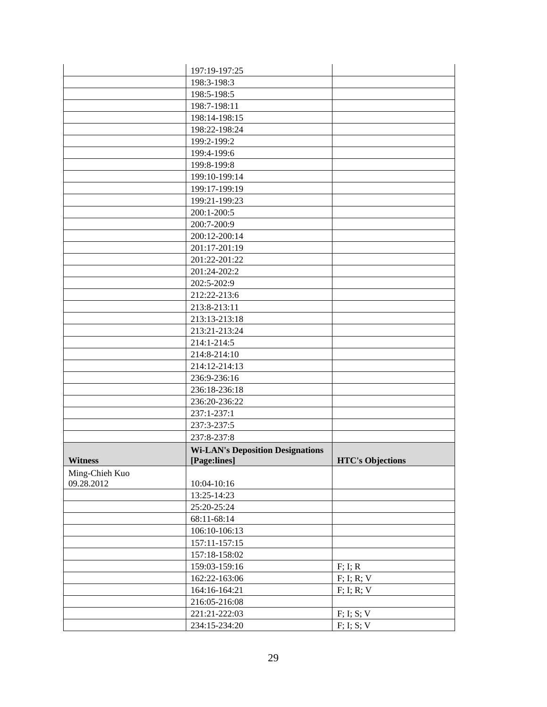|                | 197:19-197:25                           |                         |
|----------------|-----------------------------------------|-------------------------|
|                | 198:3-198:3                             |                         |
|                | 198:5-198:5                             |                         |
|                | 198:7-198:11                            |                         |
|                | 198:14-198:15                           |                         |
|                | 198:22-198:24                           |                         |
|                | 199:2-199:2                             |                         |
|                | 199:4-199:6                             |                         |
|                | 199:8-199:8                             |                         |
|                | 199:10-199:14                           |                         |
|                | 199:17-199:19                           |                         |
|                | 199:21-199:23                           |                         |
|                | 200:1-200:5                             |                         |
|                | 200:7-200:9                             |                         |
|                | 200:12-200:14                           |                         |
|                | 201:17-201:19                           |                         |
|                | 201:22-201:22                           |                         |
|                | 201:24-202:2                            |                         |
|                | 202:5-202:9                             |                         |
|                | 212:22-213:6                            |                         |
|                | 213:8-213:11                            |                         |
|                | 213:13-213:18                           |                         |
|                | 213:21-213:24                           |                         |
|                | 214:1-214:5                             |                         |
|                | 214:8-214:10                            |                         |
|                | 214:12-214:13                           |                         |
|                | 236:9-236:16                            |                         |
|                | 236:18-236:18                           |                         |
|                | 236:20-236:22                           |                         |
|                | 237:1-237:1                             |                         |
|                | 237:3-237:5                             |                         |
|                | 237:8-237:8                             |                         |
|                | <b>Wi-LAN's Deposition Designations</b> |                         |
| <b>Witness</b> | [Page:lines]                            | <b>HTC's Objections</b> |
| Ming-Chieh Kuo |                                         |                         |
| 09.28.2012     | 10:04-10:16                             |                         |
|                | 13:25-14:23                             |                         |
|                | 25:20-25:24                             |                         |
|                | 68:11-68:14                             |                         |
|                | 106:10-106:13                           |                         |
|                | 157:11-157:15                           |                         |
|                | 157:18-158:02                           |                         |
|                | 159:03-159:16                           | F; I; R                 |
|                | 162:22-163:06                           | $F$ ; I; R; V           |
|                | 164:16-164:21                           | $F$ ; I; R; V           |
|                | 216:05-216:08                           |                         |
|                | 221:21-222:03                           | F; I; S; V              |
|                | 234:15-234:20                           | F; I; S; V              |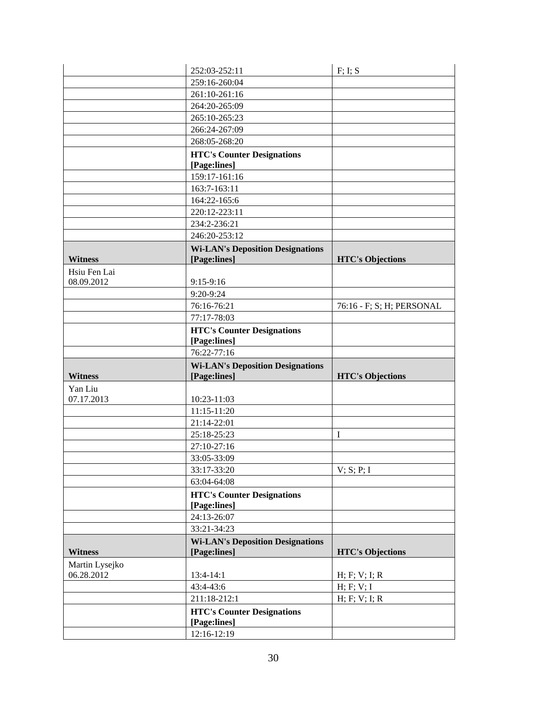|                            | 252:03-252:11                                     | F; I; S                   |
|----------------------------|---------------------------------------------------|---------------------------|
|                            | 259:16-260:04                                     |                           |
|                            | 261:10-261:16                                     |                           |
|                            | 264:20-265:09                                     |                           |
|                            | 265:10-265:23                                     |                           |
|                            | 266:24-267:09                                     |                           |
|                            | 268:05-268:20                                     |                           |
|                            | <b>HTC's Counter Designations</b>                 |                           |
|                            | [Page:lines]                                      |                           |
|                            | 159:17-161:16                                     |                           |
|                            | 163:7-163:11                                      |                           |
|                            | 164:22-165:6                                      |                           |
|                            | 220:12-223:11                                     |                           |
|                            | 234:2-236:21                                      |                           |
|                            | 246:20-253:12                                     |                           |
|                            | <b>Wi-LAN's Deposition Designations</b>           |                           |
| <b>Witness</b>             | [Page:lines]                                      | <b>HTC's Objections</b>   |
| Hsiu Fen Lai<br>08.09.2012 | 9:15-9:16                                         |                           |
|                            | 9:20-9:24                                         |                           |
|                            | 76:16-76:21                                       | 76:16 - F; S; H; PERSONAL |
|                            | 77:17-78:03                                       |                           |
|                            | <b>HTC's Counter Designations</b>                 |                           |
|                            | [Page:lines]                                      |                           |
|                            | 76:22-77:16                                       |                           |
|                            |                                                   |                           |
|                            | <b>Wi-LAN's Deposition Designations</b>           |                           |
| <b>Witness</b>             | [Page:lines]                                      | <b>HTC's Objections</b>   |
| Yan Liu                    |                                                   |                           |
| 07.17.2013                 | 10:23-11:03                                       |                           |
|                            | 11:15-11:20                                       |                           |
|                            | 21:14-22:01                                       |                           |
|                            | 25:18-25:23                                       | Ι                         |
|                            | 27:10-27:16                                       |                           |
|                            | 33:05-33:09                                       |                           |
|                            | 33:17-33:20                                       | V; S; P; I                |
|                            | 63:04-64:08                                       |                           |
|                            | <b>HTC's Counter Designations</b>                 |                           |
|                            | [Page:lines]                                      |                           |
|                            | 24:13-26:07                                       |                           |
|                            | 33:21-34:23                                       |                           |
|                            | <b>Wi-LAN's Deposition Designations</b>           |                           |
| <b>Witness</b>             | [Page:lines]                                      | <b>HTC's Objections</b>   |
| Martin Lysejko             |                                                   |                           |
| 06.28.2012                 | 13:4-14:1                                         | H; F; V; I; R             |
|                            | 43:4-43:6                                         | H; F; V; I                |
|                            | 211:18-212:1                                      | H; F; V; I; R             |
|                            | <b>HTC's Counter Designations</b><br>[Page:lines] |                           |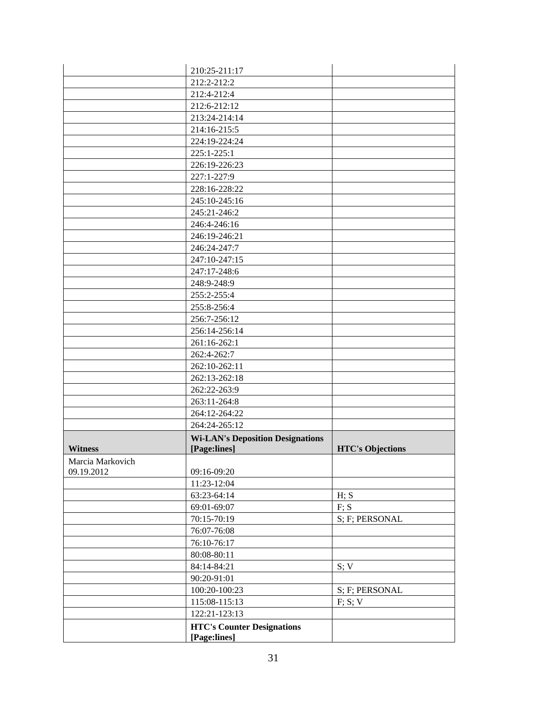|                  | 210:25-211:17                                     |                         |
|------------------|---------------------------------------------------|-------------------------|
|                  | 212:2-212:2                                       |                         |
|                  | 212:4-212:4                                       |                         |
|                  | 212:6-212:12                                      |                         |
|                  | 213:24-214:14                                     |                         |
|                  | 214:16-215:5                                      |                         |
|                  | 224:19-224:24                                     |                         |
|                  | 225:1-225:1                                       |                         |
|                  | 226:19-226:23                                     |                         |
|                  | 227:1-227:9                                       |                         |
|                  | 228:16-228:22                                     |                         |
|                  | 245:10-245:16                                     |                         |
|                  | 245:21-246:2                                      |                         |
|                  | 246:4-246:16                                      |                         |
|                  | 246:19-246:21                                     |                         |
|                  | 246:24-247:7                                      |                         |
|                  | 247:10-247:15                                     |                         |
|                  | 247:17-248:6                                      |                         |
|                  | 248:9-248:9                                       |                         |
|                  | 255:2-255:4                                       |                         |
|                  | 255:8-256:4                                       |                         |
|                  | 256:7-256:12                                      |                         |
|                  | 256:14-256:14                                     |                         |
|                  | 261:16-262:1                                      |                         |
|                  | 262:4-262:7                                       |                         |
|                  | 262:10-262:11                                     |                         |
|                  | 262:13-262:18                                     |                         |
|                  | 262:22-263:9                                      |                         |
|                  | 263:11-264:8                                      |                         |
|                  | 264:12-264:22                                     |                         |
|                  | 264:24-265:12                                     |                         |
|                  | <b>Wi-LAN's Deposition Designations</b>           |                         |
| <b>Witness</b>   | [Page:lines]                                      | <b>HTC's Objections</b> |
| Marcia Markovich |                                                   |                         |
| 09.19.2012       | 09:16-09:20                                       |                         |
|                  | 11:23-12:04                                       |                         |
|                  | 63:23-64:14                                       | H; S                    |
|                  | 69:01-69:07                                       | F; S                    |
|                  | 70:15-70:19                                       | S; F; PERSONAL          |
|                  | 76:07-76:08                                       |                         |
|                  | 76:10-76:17                                       |                         |
|                  | 80:08-80:11                                       |                         |
|                  | 84:14-84:21                                       | S; V                    |
|                  | 90:20-91:01                                       |                         |
|                  | 100:20-100:23                                     | S; F; PERSONAL          |
|                  | 115:08-115:13                                     | F; S; V                 |
|                  | 122:21-123:13                                     |                         |
|                  | <b>HTC's Counter Designations</b><br>[Page:lines] |                         |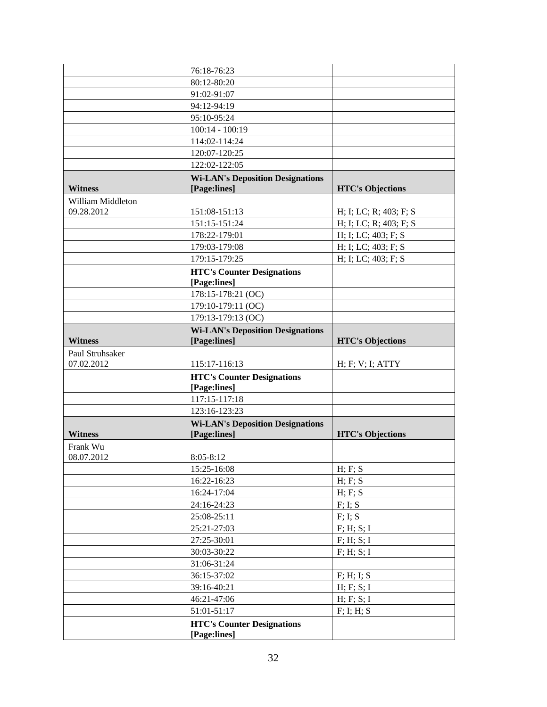|                               | 76:18-76:23                                       |                         |
|-------------------------------|---------------------------------------------------|-------------------------|
|                               | 80:12-80:20                                       |                         |
|                               | 91:02-91:07                                       |                         |
|                               | 94:12-94:19                                       |                         |
|                               | 95:10-95:24                                       |                         |
|                               | $100:14 - 100:19$                                 |                         |
|                               | 114:02-114:24                                     |                         |
|                               | 120:07-120:25                                     |                         |
|                               | 122:02-122:05                                     |                         |
|                               | <b>Wi-LAN's Deposition Designations</b>           |                         |
| <b>Witness</b>                | [Page:lines]                                      | <b>HTC's Objections</b> |
| William Middleton             |                                                   |                         |
| 09.28.2012                    | 151:08-151:13                                     | H; I; LC; R; 403; F; S  |
|                               | 151:15-151:24                                     | H; I; LC; R; 403; F; S  |
|                               | 178:22-179:01                                     | H; I; LC; 403; F; S     |
|                               | 179:03-179:08                                     | H; I; LC; 403; F; S     |
|                               | 179:15-179:25                                     | H; I; LC; 403; F; S     |
|                               | <b>HTC's Counter Designations</b><br>[Page:lines] |                         |
|                               | 178:15-178:21 (OC)                                |                         |
|                               | 179:10-179:11 (OC)                                |                         |
|                               | 179:13-179:13 (OC)                                |                         |
|                               | <b>Wi-LAN's Deposition Designations</b>           |                         |
| <b>Witness</b>                | [Page:lines]                                      | <b>HTC's Objections</b> |
| Paul Struhsaker<br>07.02.2012 | 115:17-116:13                                     | H; F; V; I; ATTY        |
|                               | <b>HTC's Counter Designations</b>                 |                         |
|                               | [Page:lines]                                      |                         |
|                               | 117:15-117:18                                     |                         |
|                               | 123:16-123:23                                     |                         |
|                               | <b>Wi-LAN's Deposition Designations</b>           |                         |
| <b>Witness</b>                | [Page:lines]                                      | <b>HTC's Objections</b> |
| Frank Wu                      |                                                   |                         |
| 08.07.2012                    | $8:05 - 8:12$                                     |                         |
|                               | 15:25-16:08                                       | H; F; S                 |
|                               | 16:22-16:23                                       | H; F; S                 |
|                               | 16:24-17:04                                       | H; F; S                 |
|                               | 24:16-24:23                                       | F; I; S                 |
|                               | 25:08-25:11                                       | F; I; S                 |
|                               | 25:21-27:03                                       | F; H; S; I              |
|                               | 27:25-30:01                                       | F; H; S; I              |
|                               | 30:03-30:22                                       | F; H; S; I              |
|                               | 31:06-31:24                                       |                         |
|                               | 36:15-37:02                                       | F; H; I; S              |
|                               | 39:16-40:21                                       | H; F; S; I              |
|                               | 46:21-47:06                                       | H; F; S; I              |
|                               |                                                   |                         |
|                               | 51:01-51:17<br><b>HTC's Counter Designations</b>  | F; I; H; S              |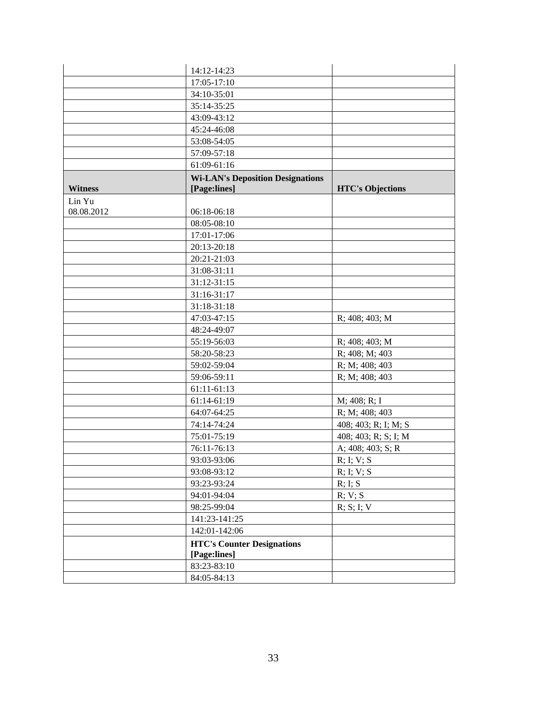|                | 14:12-14:23                             |                         |
|----------------|-----------------------------------------|-------------------------|
|                | 17:05-17:10                             |                         |
|                | 34:10-35:01                             |                         |
|                | 35:14-35:25                             |                         |
|                | 43:09-43:12                             |                         |
|                | 45:24-46:08                             |                         |
|                | 53:08-54:05                             |                         |
|                | 57:09-57:18                             |                         |
|                | 61:09-61:16                             |                         |
|                | <b>Wi-LAN's Deposition Designations</b> |                         |
| <b>Witness</b> | [Page:lines]                            | <b>HTC's Objections</b> |
| Lin Yu         |                                         |                         |
| 08.08.2012     | 06:18-06:18                             |                         |
|                | 08:05-08:10                             |                         |
|                | 17:01-17:06                             |                         |
|                | 20:13-20:18                             |                         |
|                | 20:21-21:03                             |                         |
|                | 31:08-31:11                             |                         |
|                | 31:12-31:15                             |                         |
|                | 31:16-31:17                             |                         |
|                | 31:18-31:18                             |                         |
|                | 47:03-47:15                             | $R$ ; 408; 403; M       |
|                | 48:24-49:07                             |                         |
|                | 55:19-56:03                             | R; 408; 403; M          |
|                | 58:20-58:23                             | R; 408; M; 403          |
|                | 59:02-59:04                             | R; M; 408; 403          |
|                | 59:06-59:11                             | R; M; 408; 403          |
|                | 61:11-61:13                             |                         |
|                | 61:14-61:19                             | M; 408; R; I            |
|                | 64:07-64:25                             | R; M; 408; 403          |
|                | 74:14-74:24                             | 408; 403; R; I; M; S    |
|                | 75:01-75:19                             | 408; 403; R; S; I; M    |
|                | 76:11-76:13                             | A; 408; 403; S; R       |
|                | 93:03-93:06                             | $R$ ; I; V; S           |
|                | 93:08-93:12                             | R; I; V; S              |
|                | 93:23-93:24                             | R; I; S                 |
|                | 94:01-94:04                             | R; V; S                 |
|                | 98:25-99:04                             | R; S; I; V              |
|                | 141:23-141:25                           |                         |
|                | 142:01-142:06                           |                         |
|                | <b>HTC's Counter Designations</b>       |                         |
|                | [Page:lines]                            |                         |
|                | 83:23-83:10                             |                         |
|                | 84:05-84:13                             |                         |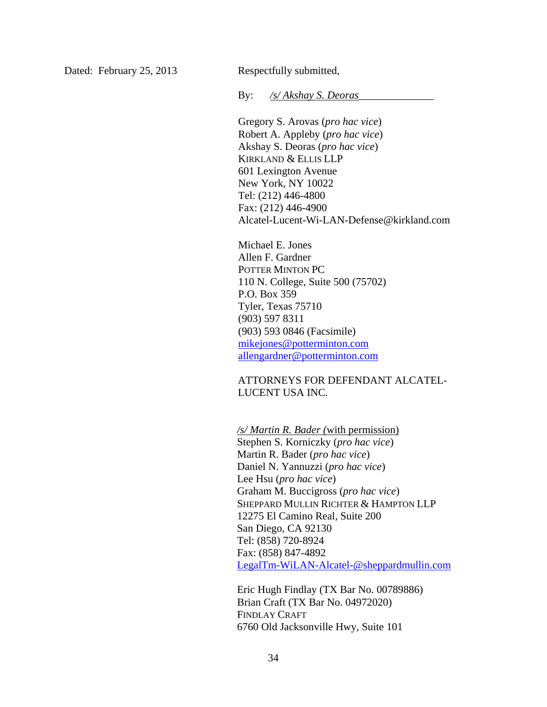Dated: February 25, 2013 Respectfully submitted,

By: */s/ Akshay S. Deoras\_\_\_\_\_\_*\_\_\_\_\_\_\_\_

Gregory S. Arovas (*pro hac vice*) Robert A. Appleby (*pro hac vice*) Akshay S. Deoras (*pro hac vice*) KIRKLAND & ELLIS LLP 601 Lexington Avenue New York, NY 10022 Tel: (212) 446-4800 Fax: (212) 446-4900 Alcatel-Lucent-Wi-LAN-Defense@kirkland.com

Michael E. Jones Allen F. Gardner POTTER MINTON PC 110 N. College, Suite 500 (75702) P.O. Box 359 Tyler, Texas 75710 (903) 597 8311 (903) 593 0846 (Facsimile) mikejones@potterminton.com allengardner@potterminton.com

 ATTORNEYS FOR DEFENDANT ALCATEL-LUCENT USA INC.

*/s/ Martin R. Bader (*with permission) Stephen S. Korniczky (*pro hac vice*) Martin R. Bader (*pro hac vice*) Daniel N. Yannuzzi (*pro hac vice*) Lee Hsu (*pro hac vice*) Graham M. Buccigross (*pro hac vice*) SHEPPARD MULLIN RICHTER & HAMPTON LLP 12275 El Camino Real, Suite 200 San Diego, CA 92130 Tel: (858) 720-8924 Fax: (858) 847-4892 LegalTm-WiLAN-Alcatel-@sheppardmullin.com

Eric Hugh Findlay (TX Bar No. 00789886) Brian Craft (TX Bar No. 04972020) FINDLAY CRAFT 6760 Old Jacksonville Hwy, Suite 101